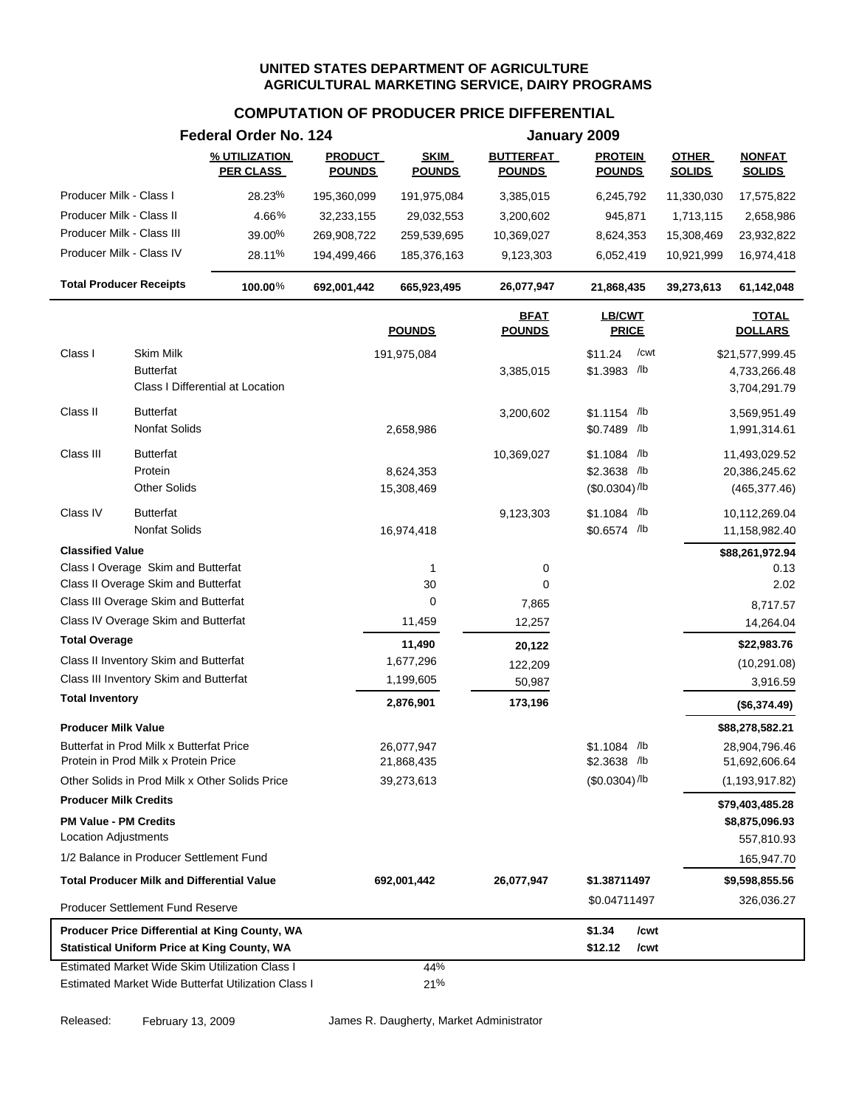#### **COMPUTATION OF PRODUCER PRICE DIFFERENTIAL**

|                                                                                                       | Federal Order No. 124             |                                 |                              |                                   | January 2009                      |                               |                                |
|-------------------------------------------------------------------------------------------------------|-----------------------------------|---------------------------------|------------------------------|-----------------------------------|-----------------------------------|-------------------------------|--------------------------------|
|                                                                                                       | % UTILIZATION<br><b>PER CLASS</b> | <b>PRODUCT</b><br><b>POUNDS</b> | <b>SKIM</b><br><b>POUNDS</b> | <b>BUTTERFAT</b><br><b>POUNDS</b> | <b>PROTEIN</b><br><b>POUNDS</b>   | <b>OTHER</b><br><b>SOLIDS</b> | <b>NONFAT</b><br><b>SOLIDS</b> |
| Producer Milk - Class I                                                                               | 28.23%                            | 195,360,099                     | 191,975,084                  | 3,385,015                         | 6,245,792                         | 11,330,030                    | 17,575,822                     |
| Producer Milk - Class II                                                                              | 4.66%                             | 32,233,155                      | 29,032,553                   | 3,200,602                         | 945,871                           | 1,713,115                     | 2,658,986                      |
| Producer Milk - Class III                                                                             | 39.00%                            | 269,908,722                     | 259,539,695                  | 10,369,027                        | 8,624,353                         | 15,308,469                    | 23,932,822                     |
| Producer Milk - Class IV                                                                              | 28.11%                            | 194,499,466                     | 185,376,163                  | 9,123,303                         | 6,052,419                         | 10,921,999                    | 16,974,418                     |
| <b>Total Producer Receipts</b>                                                                        | 100.00%                           | 692,001,442                     | 665,923,495                  | 26,077,947                        | 21,868,435                        | 39,273,613                    | 61,142,048                     |
|                                                                                                       |                                   |                                 | <b>POUNDS</b>                | <b>BFAT</b><br><b>POUNDS</b>      | <b>LB/CWT</b><br><b>PRICE</b>     |                               | <b>TOTAL</b><br><b>DOLLARS</b> |
| Class I<br>Skim Milk                                                                                  |                                   |                                 | 191,975,084                  |                                   | \$11.24<br>/cwt                   |                               | \$21,577,999.45                |
| Butterfat                                                                                             |                                   |                                 |                              | 3,385,015                         | $$1.3983$ /lb                     |                               | 4,733,266.48                   |
| Class I Differential at Location                                                                      |                                   |                                 |                              |                                   |                                   |                               | 3,704,291.79                   |
| <b>Butterfat</b><br>Class II                                                                          |                                   |                                 |                              | 3,200,602                         | $$1.1154$ /lb                     |                               | 3,569,951.49                   |
| Nonfat Solids                                                                                         |                                   |                                 | 2,658,986                    |                                   | \$0.7489 /lb                      |                               | 1,991,314.61                   |
| Class III<br><b>Butterfat</b>                                                                         |                                   |                                 |                              | 10,369,027                        | $$1.1084$ /lb                     |                               |                                |
| Protein                                                                                               |                                   |                                 | 8,624,353                    |                                   | \$2.3638 /lb                      |                               | 11,493,029.52<br>20,386,245.62 |
| <b>Other Solids</b>                                                                                   |                                   |                                 | 15,308,469                   |                                   | $($0.0304)$ /lb                   |                               | (465, 377.46)                  |
| Class IV<br><b>Butterfat</b>                                                                          |                                   |                                 |                              | 9,123,303                         | $$1.1084$ /lb                     |                               | 10,112,269.04                  |
| Nonfat Solids                                                                                         |                                   |                                 | 16,974,418                   |                                   | \$0.6574 /lb                      |                               | 11,158,982.40                  |
| <b>Classified Value</b>                                                                               |                                   |                                 |                              |                                   |                                   |                               | \$88,261,972.94                |
| Class I Overage Skim and Butterfat                                                                    |                                   |                                 | $\mathbf{1}$                 | 0                                 |                                   |                               | 0.13                           |
| Class II Overage Skim and Butterfat                                                                   |                                   |                                 | 30                           | 0                                 |                                   |                               | 2.02                           |
| Class III Overage Skim and Butterfat                                                                  |                                   |                                 | 0                            | 7,865                             |                                   |                               | 8,717.57                       |
| Class IV Overage Skim and Butterfat                                                                   |                                   |                                 | 11,459                       | 12,257                            |                                   |                               | 14,264.04                      |
| <b>Total Overage</b>                                                                                  |                                   |                                 | 11,490                       | 20,122                            |                                   |                               | \$22,983.76                    |
| Class II Inventory Skim and Butterfat                                                                 |                                   |                                 | 1,677,296                    | 122,209                           |                                   |                               | (10, 291.08)                   |
| Class III Inventory Skim and Butterfat                                                                |                                   |                                 | 1,199,605                    | 50,987                            |                                   |                               | 3,916.59                       |
| <b>Total Inventory</b>                                                                                |                                   |                                 | 2,876,901                    | 173,196                           |                                   |                               | (\$6,374.49)                   |
| <b>Producer Milk Value</b>                                                                            |                                   |                                 |                              |                                   |                                   |                               | \$88,278,582.21                |
| Butterfat in Prod Milk x Butterfat Price                                                              |                                   |                                 | 26,077,947                   |                                   | \$1.1084 /b                       |                               | 28,904,796.46                  |
| Protein in Prod Milk x Protein Price                                                                  |                                   |                                 | 21,868,435                   |                                   | \$2.3638 /lb                      |                               | 51,692,606.64                  |
| Other Solids in Prod Milk x Other Solids Price                                                        |                                   |                                 | 39,273,613                   |                                   | $($0.0304)$ /lb                   |                               | (1, 193, 917.82)               |
| <b>Producer Milk Credits</b>                                                                          |                                   |                                 |                              |                                   |                                   |                               | \$79,403,485.28                |
| <b>PM Value - PM Credits</b><br><b>Location Adjustments</b>                                           |                                   |                                 |                              |                                   |                                   |                               | \$8,875,096.93<br>557,810.93   |
| 1/2 Balance in Producer Settlement Fund                                                               |                                   |                                 |                              |                                   |                                   |                               | 165,947.70                     |
| <b>Total Producer Milk and Differential Value</b>                                                     |                                   |                                 | 692,001,442                  | 26,077,947                        | \$1.38711497                      |                               | \$9,598,855.56                 |
|                                                                                                       |                                   |                                 |                              |                                   | \$0.04711497                      |                               | 326,036.27                     |
| <b>Producer Settlement Fund Reserve</b>                                                               |                                   |                                 |                              |                                   |                                   |                               |                                |
| Producer Price Differential at King County, WA<br><b>Statistical Uniform Price at King County, WA</b> |                                   |                                 |                              |                                   | \$1.34<br>/cwt<br>\$12.12<br>/cwt |                               |                                |
| Estimated Market Wide Skim Utilization Class I                                                        |                                   |                                 | 44%                          |                                   |                                   |                               |                                |
| Estimated Market Wide Butterfat Utilization Class I                                                   |                                   |                                 | 21%                          |                                   |                                   |                               |                                |

Released: February 13, 2009 James R. Daugherty, Market Administrator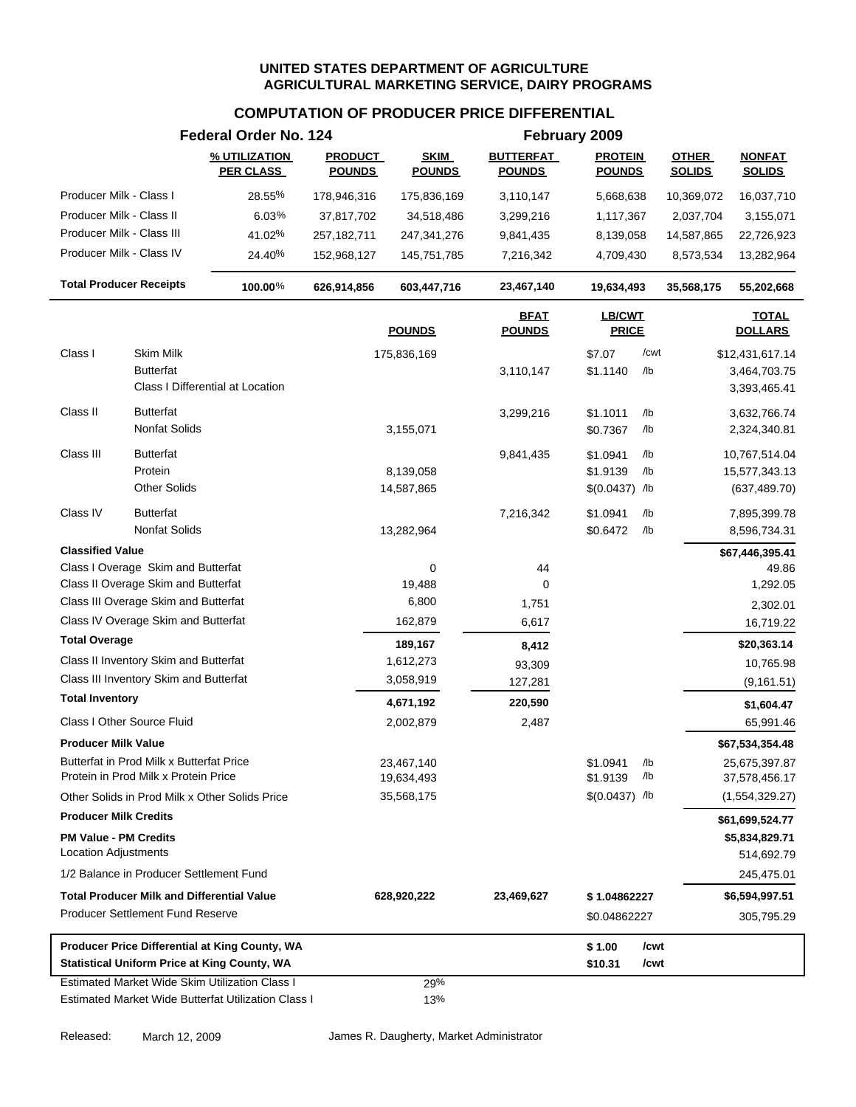|                                                      |                                                                                  | Federal Order No. 124                                                                                        | February 2009                   |                              |                                   |                                                       |                               |                                                   |
|------------------------------------------------------|----------------------------------------------------------------------------------|--------------------------------------------------------------------------------------------------------------|---------------------------------|------------------------------|-----------------------------------|-------------------------------------------------------|-------------------------------|---------------------------------------------------|
|                                                      |                                                                                  | % UTILIZATION<br><b>PER CLASS</b>                                                                            | <b>PRODUCT</b><br><b>POUNDS</b> | <b>SKIM</b><br><b>POUNDS</b> | <b>BUTTERFAT</b><br><b>POUNDS</b> | <b>PROTEIN</b><br><b>POUNDS</b>                       | <b>OTHER</b><br><b>SOLIDS</b> | <b>NONFAT</b><br><b>SOLIDS</b>                    |
| Producer Milk - Class I                              |                                                                                  | 28.55%                                                                                                       | 178,946,316                     | 175,836,169                  | 3,110,147                         | 5,668,638                                             | 10,369,072                    | 16,037,710                                        |
| Producer Milk - Class II                             |                                                                                  | 6.03%                                                                                                        | 37,817,702                      | 34,518,486                   | 3,299,216                         | 1,117,367                                             | 2,037,704                     | 3,155,071                                         |
| Producer Milk - Class III                            |                                                                                  | 41.02%                                                                                                       | 257, 182, 711                   | 247,341,276                  | 9,841,435                         | 8,139,058                                             | 14,587,865                    | 22,726,923                                        |
| Producer Milk - Class IV                             |                                                                                  | 24.40%                                                                                                       | 152,968,127                     | 145,751,785                  | 7,216,342                         | 4,709,430                                             | 8,573,534                     | 13,282,964                                        |
| <b>Total Producer Receipts</b>                       |                                                                                  | 100.00%                                                                                                      | 626,914,856                     | 603,447,716                  | 23,467,140                        | 19,634,493                                            | 35,568,175                    | 55,202,668                                        |
|                                                      |                                                                                  |                                                                                                              |                                 | <b>POUNDS</b>                | <b>BFAT</b><br><b>POUNDS</b>      | <b>LB/CWT</b><br><b>PRICE</b>                         |                               | <b>TOTAL</b><br><b>DOLLARS</b>                    |
| Class I                                              | Skim Milk<br><b>Butterfat</b>                                                    | Class I Differential at Location                                                                             |                                 | 175,836,169                  | 3,110,147                         | /cwt<br>\$7.07<br>\$1.1140<br>/lb                     |                               | \$12,431,617.14<br>3,464,703.75<br>3,393,465.41   |
| Class II                                             | <b>Butterfat</b><br><b>Nonfat Solids</b>                                         |                                                                                                              |                                 | 3,155,071                    | 3,299,216                         | /lb<br>\$1.1011<br>\$0.7367<br>/lb                    |                               | 3,632,766.74<br>2,324,340.81                      |
| Class III                                            | <b>Butterfat</b><br>Protein<br><b>Other Solids</b>                               |                                                                                                              |                                 | 8,139,058<br>14,587,865      | 9,841,435                         | \$1.0941<br>/lb<br>\$1.9139<br>/lb<br>$$(0.0437)$ /lb |                               | 10,767,514.04<br>15,577,343.13<br>(637, 489.70)   |
| Class IV                                             | <b>Butterfat</b><br>Nonfat Solids                                                |                                                                                                              |                                 | 13,282,964                   | 7,216,342                         | /lb<br>\$1.0941<br>\$0.6472<br>/lb                    |                               | 7,895,399.78<br>8,596,734.31                      |
| <b>Classified Value</b>                              |                                                                                  |                                                                                                              |                                 |                              |                                   |                                                       |                               | \$67,446,395.41                                   |
|                                                      | Class I Overage Skim and Butterfat                                               |                                                                                                              |                                 | 0                            | 44                                |                                                       |                               | 49.86                                             |
|                                                      | Class II Overage Skim and Butterfat                                              |                                                                                                              |                                 | 19,488                       | 0                                 |                                                       |                               | 1,292.05                                          |
|                                                      | Class III Overage Skim and Butterfat<br>Class IV Overage Skim and Butterfat      |                                                                                                              |                                 | 6,800                        | 1,751                             |                                                       |                               | 2,302.01                                          |
| <b>Total Overage</b>                                 |                                                                                  |                                                                                                              |                                 | 162,879                      | 6,617                             |                                                       |                               | 16,719.22                                         |
|                                                      |                                                                                  |                                                                                                              |                                 | 189,167                      | 8,412                             |                                                       |                               | \$20,363.14                                       |
|                                                      | Class II Inventory Skim and Butterfat<br>Class III Inventory Skim and Butterfat  |                                                                                                              |                                 | 1,612,273                    | 93,309                            |                                                       |                               | 10,765.98                                         |
| <b>Total Inventory</b>                               |                                                                                  |                                                                                                              |                                 | 3,058,919                    | 127,281                           |                                                       |                               | (9, 161.51)                                       |
|                                                      |                                                                                  |                                                                                                              |                                 | 4,671,192                    | 220,590                           |                                                       |                               | \$1,604.47                                        |
|                                                      | Class I Other Source Fluid                                                       |                                                                                                              |                                 | 2,002,879                    | 2,487                             |                                                       |                               | 65,991.46                                         |
| <b>Producer Milk Value</b>                           | Butterfat in Prod Milk x Butterfat Price<br>Protein in Prod Milk x Protein Price |                                                                                                              |                                 | 23,467,140<br>19,634,493     |                                   | \$1.0941<br>/lb<br>/lb<br>\$1.9139                    |                               | \$67,534,354.48<br>25,675,397.87<br>37,578,456.17 |
|                                                      |                                                                                  | Other Solids in Prod Milk x Other Solids Price                                                               |                                 | 35,568,175                   |                                   | $$(0.0437)$ /lb                                       |                               | (1,554,329.27)                                    |
| <b>Producer Milk Credits</b>                         |                                                                                  |                                                                                                              |                                 |                              |                                   |                                                       |                               | \$61,699,524.77                                   |
| <b>PM Value - PM Credits</b><br>Location Adjustments |                                                                                  |                                                                                                              |                                 |                              |                                   |                                                       |                               | \$5,834,829.71<br>514,692.79                      |
|                                                      | 1/2 Balance in Producer Settlement Fund                                          |                                                                                                              |                                 |                              |                                   |                                                       |                               | 245,475.01                                        |
|                                                      | <b>Total Producer Milk and Differential Value</b>                                |                                                                                                              |                                 | 628,920,222                  | 23,469,627                        | \$1.04862227                                          |                               | \$6,594,997.51                                    |
|                                                      | <b>Producer Settlement Fund Reserve</b>                                          |                                                                                                              |                                 |                              |                                   | \$0.04862227                                          |                               | 305,795.29                                        |
|                                                      |                                                                                  | Producer Price Differential at King County, WA<br><b>Statistical Uniform Price at King County, WA</b>        |                                 |                              |                                   | /cwt<br>\$1.00<br>\$10.31<br>/cwt                     |                               |                                                   |
|                                                      |                                                                                  | <b>Estimated Market Wide Skim Utilization Class I</b><br>Estimated Market Wide Butterfat Utilization Class I |                                 | 29%<br>13%                   |                                   |                                                       |                               |                                                   |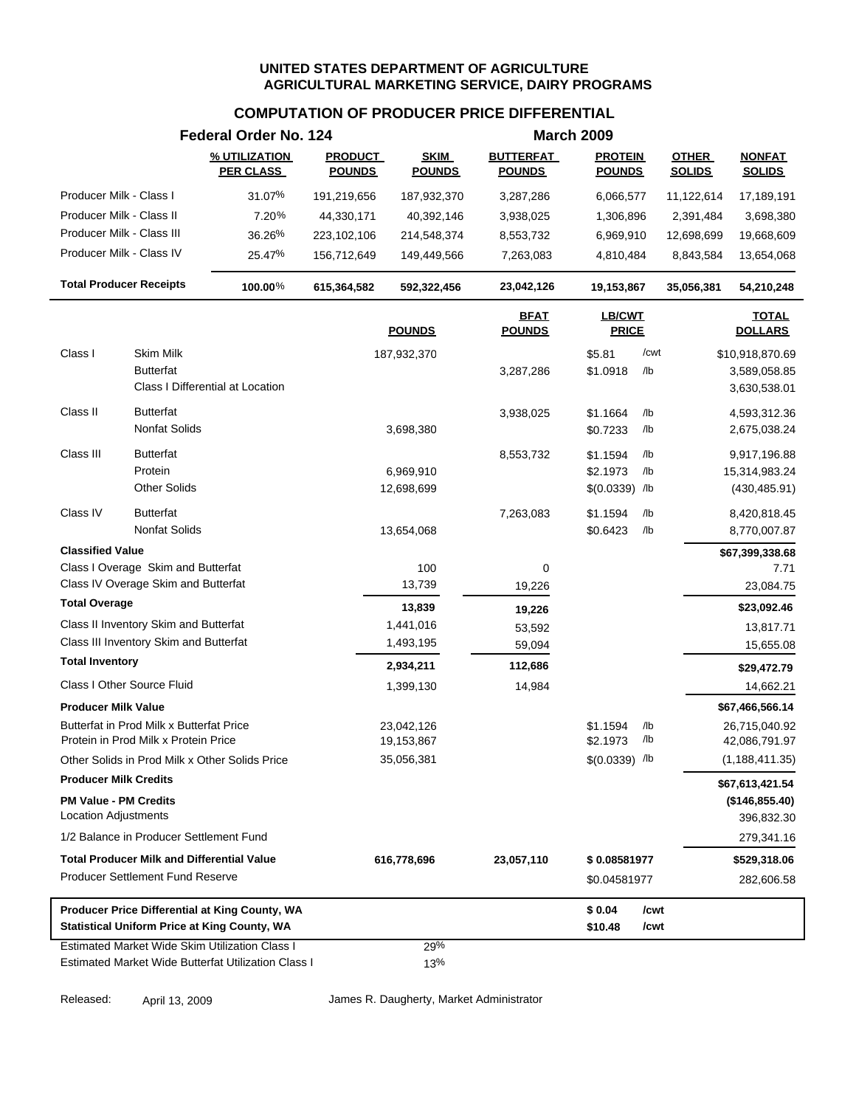### **COMPUTATION OF PRODUCER PRICE DIFFERENTIAL**

|                                                                                  |                     | Federal Order No. 124                               |                                 |                              |                                   | <b>March 2009</b>               |              |                               |                                |
|----------------------------------------------------------------------------------|---------------------|-----------------------------------------------------|---------------------------------|------------------------------|-----------------------------------|---------------------------------|--------------|-------------------------------|--------------------------------|
|                                                                                  |                     | % UTILIZATION<br><b>PER CLASS</b>                   | <b>PRODUCT</b><br><b>POUNDS</b> | <b>SKIM</b><br><b>POUNDS</b> | <b>BUTTERFAT</b><br><b>POUNDS</b> | <b>PROTEIN</b><br><b>POUNDS</b> |              | <b>OTHER</b><br><b>SOLIDS</b> | <b>NONFAT</b><br><b>SOLIDS</b> |
| Producer Milk - Class I                                                          |                     | 31.07%                                              | 191,219,656                     | 187,932,370                  | 3,287,286                         | 6,066,577                       |              | 11,122,614                    | 17,189,191                     |
| Producer Milk - Class II                                                         |                     | 7.20%                                               | 44,330,171                      | 40,392,146                   | 3,938,025                         | 1,306,896                       |              | 2,391,484                     | 3,698,380                      |
| Producer Milk - Class III                                                        |                     | 36.26%                                              | 223,102,106                     | 214,548,374                  | 8,553,732                         | 6,969,910                       |              | 12,698,699                    | 19,668,609                     |
| Producer Milk - Class IV                                                         |                     | 25.47%                                              | 156,712,649                     | 149,449,566                  | 7,263,083                         | 4,810,484                       |              | 8,843,584                     | 13,654,068                     |
| <b>Total Producer Receipts</b>                                                   |                     | 100.00%                                             | 615,364,582                     | 592,322,456                  | 23,042,126                        | 19,153,867                      |              | 35,056,381                    | 54,210,248                     |
|                                                                                  |                     |                                                     |                                 | <b>POUNDS</b>                | <b>BFAT</b><br><b>POUNDS</b>      | LB/CWT<br><b>PRICE</b>          |              |                               | <b>TOTAL</b><br><b>DOLLARS</b> |
| Class I                                                                          | Skim Milk           |                                                     |                                 | 187,932,370                  |                                   | \$5.81                          | /cwt         |                               | \$10,918,870.69                |
|                                                                                  | <b>Butterfat</b>    | Class I Differential at Location                    |                                 |                              | 3,287,286                         | \$1.0918                        | /lb          |                               | 3,589,058.85<br>3,630,538.01   |
| Class II                                                                         | <b>Butterfat</b>    |                                                     |                                 |                              | 3,938,025                         | \$1.1664                        | /lb          |                               | 4,593,312.36                   |
|                                                                                  | Nonfat Solids       |                                                     |                                 | 3,698,380                    |                                   | \$0.7233                        | /lb          |                               | 2,675,038.24                   |
| Class III                                                                        | <b>Butterfat</b>    |                                                     |                                 |                              | 8,553,732                         | \$1.1594                        | /lb          |                               | 9,917,196.88                   |
|                                                                                  | Protein             |                                                     |                                 | 6,969,910                    |                                   | \$2.1973                        | /lb          |                               | 15,314,983.24                  |
|                                                                                  | <b>Other Solids</b> |                                                     |                                 | 12,698,699                   |                                   | $$(0.0339)$ /lb                 |              |                               | (430, 485.91)                  |
| Class IV                                                                         | <b>Butterfat</b>    |                                                     |                                 |                              | 7,263,083                         | \$1.1594                        | $/$ lb       |                               | 8,420,818.45                   |
|                                                                                  | Nonfat Solids       |                                                     |                                 | 13,654,068                   |                                   | \$0.6423                        | $/$ lb       |                               | 8,770,007.87                   |
| <b>Classified Value</b>                                                          |                     |                                                     |                                 |                              |                                   |                                 |              |                               | \$67,399,338.68                |
| Class I Overage Skim and Butterfat                                               |                     |                                                     |                                 | 100                          | 0                                 |                                 |              |                               | 7.71                           |
| Class IV Overage Skim and Butterfat                                              |                     |                                                     |                                 | 13,739                       | 19,226                            |                                 |              |                               | 23,084.75                      |
| <b>Total Overage</b>                                                             |                     |                                                     |                                 | 13,839                       | 19,226                            |                                 |              |                               | \$23,092.46                    |
| Class II Inventory Skim and Butterfat                                            |                     |                                                     |                                 | 1,441,016                    | 53,592                            |                                 |              |                               | 13,817.71                      |
| Class III Inventory Skim and Butterfat                                           |                     |                                                     |                                 | 1,493,195                    | 59,094                            |                                 |              |                               | 15,655.08                      |
| <b>Total Inventory</b>                                                           |                     |                                                     |                                 | 2,934,211                    | 112,686                           |                                 |              |                               | \$29,472.79                    |
| Class I Other Source Fluid                                                       |                     |                                                     |                                 | 1,399,130                    | 14,984                            |                                 |              |                               | 14,662.21                      |
| <b>Producer Milk Value</b>                                                       |                     |                                                     |                                 |                              |                                   |                                 |              |                               | \$67,466,566.14                |
| Butterfat in Prod Milk x Butterfat Price<br>Protein in Prod Milk x Protein Price |                     |                                                     |                                 | 23,042,126<br>19,153,867     |                                   | \$1.1594<br>\$2.1973            | /lb<br>/lb   |                               | 26,715,040.92<br>42,086,791.97 |
| Other Solids in Prod Milk x Other Solids Price                                   |                     |                                                     |                                 | 35,056,381                   |                                   | $$(0.0339)$ /lb                 |              |                               | (1, 188, 411.35)               |
| <b>Producer Milk Credits</b>                                                     |                     |                                                     |                                 |                              |                                   |                                 |              |                               | \$67,613,421.54                |
| <b>PM Value - PM Credits</b>                                                     |                     |                                                     |                                 |                              |                                   |                                 |              |                               | (\$146,855.40)                 |
| <b>Location Adjustments</b>                                                      |                     |                                                     |                                 |                              |                                   |                                 |              |                               | 396,832.30                     |
| 1/2 Balance in Producer Settlement Fund                                          |                     |                                                     |                                 |                              |                                   |                                 |              |                               | 279,341.16                     |
| <b>Total Producer Milk and Differential Value</b>                                |                     |                                                     |                                 | 616,778,696                  | 23,057,110                        | \$0.08581977                    |              |                               | \$529,318.06                   |
| <b>Producer Settlement Fund Reserve</b>                                          |                     |                                                     |                                 |                              |                                   | \$0.04581977                    |              |                               | 282,606.58                     |
| <b>Statistical Uniform Price at King County, WA</b>                              |                     | Producer Price Differential at King County, WA      |                                 |                              |                                   | \$0.04<br>\$10.48               | /cwt<br>/cwt |                               |                                |
|                                                                                  |                     | Estimated Market Wide Skim Utilization Class I      |                                 | 29%                          |                                   |                                 |              |                               |                                |
|                                                                                  |                     | Estimated Market Wide Butterfat Utilization Class I |                                 | 13%                          |                                   |                                 |              |                               |                                |

Released: April 13, 2009 James R. Daugherty, Market Administrator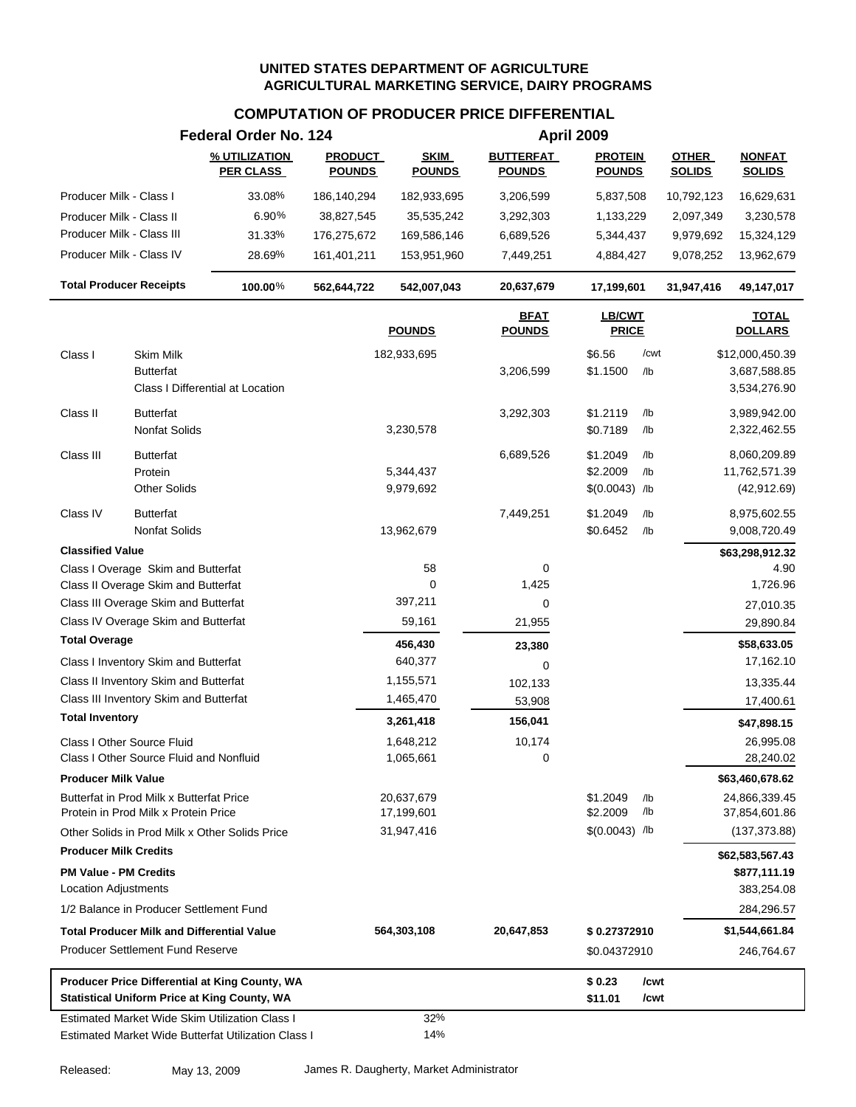| % UTILIZATION<br><b>PRODUCT</b><br><b>SKIM</b><br><b>BUTTERFAT</b><br><b>PROTEIN</b><br><b>OTHER</b><br><b>NONFAT</b><br><b>PER CLASS</b><br><b>POUNDS</b><br><b>POUNDS</b><br><b>POUNDS</b><br><b>SOLIDS</b><br><b>SOLIDS</b><br><b>POUNDS</b><br>33.08%<br>Producer Milk - Class I<br>186,140,294<br>182,933,695<br>3,206,599<br>5,837,508<br>10,792,123<br>Producer Milk - Class II<br>6.90%<br>38,827,545<br>35,535,242<br>3,292,303<br>1,133,229<br>2,097,349<br>Producer Milk - Class III<br>31.33%<br>176,275,672<br>169,586,146<br>6,689,526<br>5,344,437<br>9,979,692<br>Producer Milk - Class IV<br>28.69%<br>161,401,211<br>153,951,960<br>7,449,251<br>4,884,427<br>9,078,252<br><b>Total Producer Receipts</b><br>100.00%<br>542,007,043<br>20,637,679<br>17,199,601<br>562,644,722<br>31,947,416<br><b>TOTAL</b><br><b>BFAT</b><br><b>LB/CWT</b><br><b>POUNDS</b><br><b>POUNDS</b><br><b>PRICE</b><br><b>DOLLARS</b><br><b>Skim Milk</b><br>\$6.56<br>/cwt<br>Class I<br>182,933,695<br>\$12,000,450.39<br>\$1.1500<br><b>Butterfat</b><br>3,206,599<br>/lb<br>Class I Differential at Location<br><b>Butterfat</b><br>\$1.2119<br>Class II<br>3,292,303<br>/lb<br>Nonfat Solids<br>3,230,578<br>\$0.7189<br>/lb<br>Class III<br><b>Butterfat</b><br>6,689,526<br>\$1.2049<br>/lb<br>8,060,209.89<br>Protein<br>5,344,437<br>\$2.2009<br>/lb<br>11,762,571.39<br><b>Other Solids</b><br>$$(0.0043)$ /lb<br>9,979,692<br>Class IV<br><b>Butterfat</b><br>7,449,251<br>\$1.2049<br>/lb<br>8,975,602.55<br>\$0.6452<br>Nonfat Solids<br>13,962,679<br>/lb<br><b>Classified Value</b><br>\$63,298,912.32<br>Class I Overage Skim and Butterfat<br>58<br>0<br>$\mathbf 0$<br>1,425<br>1,726.96<br>Class II Overage Skim and Butterfat<br>397,211<br>Class III Overage Skim and Butterfat<br>0<br>Class IV Overage Skim and Butterfat<br>59,161<br>21,955<br>29,890.84<br><b>Total Overage</b><br>456,430<br>\$58,633.05<br>23,380<br>640,377<br>Class I Inventory Skim and Butterfat<br>17,162.10<br>0<br>Class II Inventory Skim and Butterfat<br>1,155,571<br>102,133<br>13,335.44<br>Class III Inventory Skim and Butterfat<br>1,465,470<br>53,908<br>17,400.61<br><b>Total Inventory</b><br>3,261,418<br>156,041<br>\$47,898.15<br>1,648,212<br>10,174<br>26,995.08<br>Class I Other Source Fluid<br>0<br>1,065,661<br>28,240.02<br>Class I Other Source Fluid and Nonfluid<br><b>Producer Milk Value</b><br>\$63,460,678.62<br>Butterfat in Prod Milk x Butterfat Price<br>20,637,679<br>24,866,339.45<br>\$1.2049<br>/lb<br>/lb<br>17,199,601<br>\$2.2009<br>Protein in Prod Milk x Protein Price<br>37,854,601.86<br>31,947,416<br>$$(0.0043)$ /lb<br>Other Solids in Prod Milk x Other Solids Price<br><b>Producer Milk Credits</b><br>\$62,583,567.43<br><b>PM Value - PM Credits</b><br><b>Location Adjustments</b><br>383,254.08<br>1/2 Balance in Producer Settlement Fund<br><b>Total Producer Milk and Differential Value</b><br>\$1,544,661.84<br>564,303,108<br>20,647,853<br>\$0.27372910<br><b>Producer Settlement Fund Reserve</b><br>\$0.04372910<br>Producer Price Differential at King County, WA<br>/cwt<br>\$0.23<br><b>Statistical Uniform Price at King County, WA</b><br>\$11.01<br>/cwt<br>32%<br><b>Estimated Market Wide Skim Utilization Class I</b><br>14%<br>Estimated Market Wide Butterfat Utilization Class I | Federal Order No. 124 |  | April 2009 |               |
|------------------------------------------------------------------------------------------------------------------------------------------------------------------------------------------------------------------------------------------------------------------------------------------------------------------------------------------------------------------------------------------------------------------------------------------------------------------------------------------------------------------------------------------------------------------------------------------------------------------------------------------------------------------------------------------------------------------------------------------------------------------------------------------------------------------------------------------------------------------------------------------------------------------------------------------------------------------------------------------------------------------------------------------------------------------------------------------------------------------------------------------------------------------------------------------------------------------------------------------------------------------------------------------------------------------------------------------------------------------------------------------------------------------------------------------------------------------------------------------------------------------------------------------------------------------------------------------------------------------------------------------------------------------------------------------------------------------------------------------------------------------------------------------------------------------------------------------------------------------------------------------------------------------------------------------------------------------------------------------------------------------------------------------------------------------------------------------------------------------------------------------------------------------------------------------------------------------------------------------------------------------------------------------------------------------------------------------------------------------------------------------------------------------------------------------------------------------------------------------------------------------------------------------------------------------------------------------------------------------------------------------------------------------------------------------------------------------------------------------------------------------------------------------------------------------------------------------------------------------------------------------------------------------------------------------------------------------------------------------------------------------------------------------------------------------------------------------------------------------------------------------------------------------------------------------------------------------------------------------------------------------------------------------------------------------------------------------------------------|-----------------------|--|------------|---------------|
|                                                                                                                                                                                                                                                                                                                                                                                                                                                                                                                                                                                                                                                                                                                                                                                                                                                                                                                                                                                                                                                                                                                                                                                                                                                                                                                                                                                                                                                                                                                                                                                                                                                                                                                                                                                                                                                                                                                                                                                                                                                                                                                                                                                                                                                                                                                                                                                                                                                                                                                                                                                                                                                                                                                                                                                                                                                                                                                                                                                                                                                                                                                                                                                                                                                                                                                                                            |                       |  |            |               |
|                                                                                                                                                                                                                                                                                                                                                                                                                                                                                                                                                                                                                                                                                                                                                                                                                                                                                                                                                                                                                                                                                                                                                                                                                                                                                                                                                                                                                                                                                                                                                                                                                                                                                                                                                                                                                                                                                                                                                                                                                                                                                                                                                                                                                                                                                                                                                                                                                                                                                                                                                                                                                                                                                                                                                                                                                                                                                                                                                                                                                                                                                                                                                                                                                                                                                                                                                            |                       |  |            | 16,629,631    |
|                                                                                                                                                                                                                                                                                                                                                                                                                                                                                                                                                                                                                                                                                                                                                                                                                                                                                                                                                                                                                                                                                                                                                                                                                                                                                                                                                                                                                                                                                                                                                                                                                                                                                                                                                                                                                                                                                                                                                                                                                                                                                                                                                                                                                                                                                                                                                                                                                                                                                                                                                                                                                                                                                                                                                                                                                                                                                                                                                                                                                                                                                                                                                                                                                                                                                                                                                            |                       |  |            | 3,230,578     |
|                                                                                                                                                                                                                                                                                                                                                                                                                                                                                                                                                                                                                                                                                                                                                                                                                                                                                                                                                                                                                                                                                                                                                                                                                                                                                                                                                                                                                                                                                                                                                                                                                                                                                                                                                                                                                                                                                                                                                                                                                                                                                                                                                                                                                                                                                                                                                                                                                                                                                                                                                                                                                                                                                                                                                                                                                                                                                                                                                                                                                                                                                                                                                                                                                                                                                                                                                            |                       |  |            | 15,324,129    |
|                                                                                                                                                                                                                                                                                                                                                                                                                                                                                                                                                                                                                                                                                                                                                                                                                                                                                                                                                                                                                                                                                                                                                                                                                                                                                                                                                                                                                                                                                                                                                                                                                                                                                                                                                                                                                                                                                                                                                                                                                                                                                                                                                                                                                                                                                                                                                                                                                                                                                                                                                                                                                                                                                                                                                                                                                                                                                                                                                                                                                                                                                                                                                                                                                                                                                                                                                            |                       |  |            | 13,962,679    |
|                                                                                                                                                                                                                                                                                                                                                                                                                                                                                                                                                                                                                                                                                                                                                                                                                                                                                                                                                                                                                                                                                                                                                                                                                                                                                                                                                                                                                                                                                                                                                                                                                                                                                                                                                                                                                                                                                                                                                                                                                                                                                                                                                                                                                                                                                                                                                                                                                                                                                                                                                                                                                                                                                                                                                                                                                                                                                                                                                                                                                                                                                                                                                                                                                                                                                                                                                            |                       |  |            | 49,147,017    |
|                                                                                                                                                                                                                                                                                                                                                                                                                                                                                                                                                                                                                                                                                                                                                                                                                                                                                                                                                                                                                                                                                                                                                                                                                                                                                                                                                                                                                                                                                                                                                                                                                                                                                                                                                                                                                                                                                                                                                                                                                                                                                                                                                                                                                                                                                                                                                                                                                                                                                                                                                                                                                                                                                                                                                                                                                                                                                                                                                                                                                                                                                                                                                                                                                                                                                                                                                            |                       |  |            |               |
|                                                                                                                                                                                                                                                                                                                                                                                                                                                                                                                                                                                                                                                                                                                                                                                                                                                                                                                                                                                                                                                                                                                                                                                                                                                                                                                                                                                                                                                                                                                                                                                                                                                                                                                                                                                                                                                                                                                                                                                                                                                                                                                                                                                                                                                                                                                                                                                                                                                                                                                                                                                                                                                                                                                                                                                                                                                                                                                                                                                                                                                                                                                                                                                                                                                                                                                                                            |                       |  |            |               |
|                                                                                                                                                                                                                                                                                                                                                                                                                                                                                                                                                                                                                                                                                                                                                                                                                                                                                                                                                                                                                                                                                                                                                                                                                                                                                                                                                                                                                                                                                                                                                                                                                                                                                                                                                                                                                                                                                                                                                                                                                                                                                                                                                                                                                                                                                                                                                                                                                                                                                                                                                                                                                                                                                                                                                                                                                                                                                                                                                                                                                                                                                                                                                                                                                                                                                                                                                            |                       |  |            | 3,687,588.85  |
|                                                                                                                                                                                                                                                                                                                                                                                                                                                                                                                                                                                                                                                                                                                                                                                                                                                                                                                                                                                                                                                                                                                                                                                                                                                                                                                                                                                                                                                                                                                                                                                                                                                                                                                                                                                                                                                                                                                                                                                                                                                                                                                                                                                                                                                                                                                                                                                                                                                                                                                                                                                                                                                                                                                                                                                                                                                                                                                                                                                                                                                                                                                                                                                                                                                                                                                                                            |                       |  |            | 3,534,276.90  |
|                                                                                                                                                                                                                                                                                                                                                                                                                                                                                                                                                                                                                                                                                                                                                                                                                                                                                                                                                                                                                                                                                                                                                                                                                                                                                                                                                                                                                                                                                                                                                                                                                                                                                                                                                                                                                                                                                                                                                                                                                                                                                                                                                                                                                                                                                                                                                                                                                                                                                                                                                                                                                                                                                                                                                                                                                                                                                                                                                                                                                                                                                                                                                                                                                                                                                                                                                            |                       |  |            | 3,989,942.00  |
|                                                                                                                                                                                                                                                                                                                                                                                                                                                                                                                                                                                                                                                                                                                                                                                                                                                                                                                                                                                                                                                                                                                                                                                                                                                                                                                                                                                                                                                                                                                                                                                                                                                                                                                                                                                                                                                                                                                                                                                                                                                                                                                                                                                                                                                                                                                                                                                                                                                                                                                                                                                                                                                                                                                                                                                                                                                                                                                                                                                                                                                                                                                                                                                                                                                                                                                                                            |                       |  |            | 2,322,462.55  |
|                                                                                                                                                                                                                                                                                                                                                                                                                                                                                                                                                                                                                                                                                                                                                                                                                                                                                                                                                                                                                                                                                                                                                                                                                                                                                                                                                                                                                                                                                                                                                                                                                                                                                                                                                                                                                                                                                                                                                                                                                                                                                                                                                                                                                                                                                                                                                                                                                                                                                                                                                                                                                                                                                                                                                                                                                                                                                                                                                                                                                                                                                                                                                                                                                                                                                                                                                            |                       |  |            |               |
|                                                                                                                                                                                                                                                                                                                                                                                                                                                                                                                                                                                                                                                                                                                                                                                                                                                                                                                                                                                                                                                                                                                                                                                                                                                                                                                                                                                                                                                                                                                                                                                                                                                                                                                                                                                                                                                                                                                                                                                                                                                                                                                                                                                                                                                                                                                                                                                                                                                                                                                                                                                                                                                                                                                                                                                                                                                                                                                                                                                                                                                                                                                                                                                                                                                                                                                                                            |                       |  |            |               |
|                                                                                                                                                                                                                                                                                                                                                                                                                                                                                                                                                                                                                                                                                                                                                                                                                                                                                                                                                                                                                                                                                                                                                                                                                                                                                                                                                                                                                                                                                                                                                                                                                                                                                                                                                                                                                                                                                                                                                                                                                                                                                                                                                                                                                                                                                                                                                                                                                                                                                                                                                                                                                                                                                                                                                                                                                                                                                                                                                                                                                                                                                                                                                                                                                                                                                                                                                            |                       |  |            | (42, 912.69)  |
|                                                                                                                                                                                                                                                                                                                                                                                                                                                                                                                                                                                                                                                                                                                                                                                                                                                                                                                                                                                                                                                                                                                                                                                                                                                                                                                                                                                                                                                                                                                                                                                                                                                                                                                                                                                                                                                                                                                                                                                                                                                                                                                                                                                                                                                                                                                                                                                                                                                                                                                                                                                                                                                                                                                                                                                                                                                                                                                                                                                                                                                                                                                                                                                                                                                                                                                                                            |                       |  |            |               |
|                                                                                                                                                                                                                                                                                                                                                                                                                                                                                                                                                                                                                                                                                                                                                                                                                                                                                                                                                                                                                                                                                                                                                                                                                                                                                                                                                                                                                                                                                                                                                                                                                                                                                                                                                                                                                                                                                                                                                                                                                                                                                                                                                                                                                                                                                                                                                                                                                                                                                                                                                                                                                                                                                                                                                                                                                                                                                                                                                                                                                                                                                                                                                                                                                                                                                                                                                            |                       |  |            | 9,008,720.49  |
|                                                                                                                                                                                                                                                                                                                                                                                                                                                                                                                                                                                                                                                                                                                                                                                                                                                                                                                                                                                                                                                                                                                                                                                                                                                                                                                                                                                                                                                                                                                                                                                                                                                                                                                                                                                                                                                                                                                                                                                                                                                                                                                                                                                                                                                                                                                                                                                                                                                                                                                                                                                                                                                                                                                                                                                                                                                                                                                                                                                                                                                                                                                                                                                                                                                                                                                                                            |                       |  |            |               |
|                                                                                                                                                                                                                                                                                                                                                                                                                                                                                                                                                                                                                                                                                                                                                                                                                                                                                                                                                                                                                                                                                                                                                                                                                                                                                                                                                                                                                                                                                                                                                                                                                                                                                                                                                                                                                                                                                                                                                                                                                                                                                                                                                                                                                                                                                                                                                                                                                                                                                                                                                                                                                                                                                                                                                                                                                                                                                                                                                                                                                                                                                                                                                                                                                                                                                                                                                            |                       |  |            | 4.90          |
|                                                                                                                                                                                                                                                                                                                                                                                                                                                                                                                                                                                                                                                                                                                                                                                                                                                                                                                                                                                                                                                                                                                                                                                                                                                                                                                                                                                                                                                                                                                                                                                                                                                                                                                                                                                                                                                                                                                                                                                                                                                                                                                                                                                                                                                                                                                                                                                                                                                                                                                                                                                                                                                                                                                                                                                                                                                                                                                                                                                                                                                                                                                                                                                                                                                                                                                                                            |                       |  |            |               |
|                                                                                                                                                                                                                                                                                                                                                                                                                                                                                                                                                                                                                                                                                                                                                                                                                                                                                                                                                                                                                                                                                                                                                                                                                                                                                                                                                                                                                                                                                                                                                                                                                                                                                                                                                                                                                                                                                                                                                                                                                                                                                                                                                                                                                                                                                                                                                                                                                                                                                                                                                                                                                                                                                                                                                                                                                                                                                                                                                                                                                                                                                                                                                                                                                                                                                                                                                            |                       |  |            | 27,010.35     |
|                                                                                                                                                                                                                                                                                                                                                                                                                                                                                                                                                                                                                                                                                                                                                                                                                                                                                                                                                                                                                                                                                                                                                                                                                                                                                                                                                                                                                                                                                                                                                                                                                                                                                                                                                                                                                                                                                                                                                                                                                                                                                                                                                                                                                                                                                                                                                                                                                                                                                                                                                                                                                                                                                                                                                                                                                                                                                                                                                                                                                                                                                                                                                                                                                                                                                                                                                            |                       |  |            |               |
|                                                                                                                                                                                                                                                                                                                                                                                                                                                                                                                                                                                                                                                                                                                                                                                                                                                                                                                                                                                                                                                                                                                                                                                                                                                                                                                                                                                                                                                                                                                                                                                                                                                                                                                                                                                                                                                                                                                                                                                                                                                                                                                                                                                                                                                                                                                                                                                                                                                                                                                                                                                                                                                                                                                                                                                                                                                                                                                                                                                                                                                                                                                                                                                                                                                                                                                                                            |                       |  |            |               |
|                                                                                                                                                                                                                                                                                                                                                                                                                                                                                                                                                                                                                                                                                                                                                                                                                                                                                                                                                                                                                                                                                                                                                                                                                                                                                                                                                                                                                                                                                                                                                                                                                                                                                                                                                                                                                                                                                                                                                                                                                                                                                                                                                                                                                                                                                                                                                                                                                                                                                                                                                                                                                                                                                                                                                                                                                                                                                                                                                                                                                                                                                                                                                                                                                                                                                                                                                            |                       |  |            |               |
|                                                                                                                                                                                                                                                                                                                                                                                                                                                                                                                                                                                                                                                                                                                                                                                                                                                                                                                                                                                                                                                                                                                                                                                                                                                                                                                                                                                                                                                                                                                                                                                                                                                                                                                                                                                                                                                                                                                                                                                                                                                                                                                                                                                                                                                                                                                                                                                                                                                                                                                                                                                                                                                                                                                                                                                                                                                                                                                                                                                                                                                                                                                                                                                                                                                                                                                                                            |                       |  |            |               |
|                                                                                                                                                                                                                                                                                                                                                                                                                                                                                                                                                                                                                                                                                                                                                                                                                                                                                                                                                                                                                                                                                                                                                                                                                                                                                                                                                                                                                                                                                                                                                                                                                                                                                                                                                                                                                                                                                                                                                                                                                                                                                                                                                                                                                                                                                                                                                                                                                                                                                                                                                                                                                                                                                                                                                                                                                                                                                                                                                                                                                                                                                                                                                                                                                                                                                                                                                            |                       |  |            |               |
|                                                                                                                                                                                                                                                                                                                                                                                                                                                                                                                                                                                                                                                                                                                                                                                                                                                                                                                                                                                                                                                                                                                                                                                                                                                                                                                                                                                                                                                                                                                                                                                                                                                                                                                                                                                                                                                                                                                                                                                                                                                                                                                                                                                                                                                                                                                                                                                                                                                                                                                                                                                                                                                                                                                                                                                                                                                                                                                                                                                                                                                                                                                                                                                                                                                                                                                                                            |                       |  |            |               |
|                                                                                                                                                                                                                                                                                                                                                                                                                                                                                                                                                                                                                                                                                                                                                                                                                                                                                                                                                                                                                                                                                                                                                                                                                                                                                                                                                                                                                                                                                                                                                                                                                                                                                                                                                                                                                                                                                                                                                                                                                                                                                                                                                                                                                                                                                                                                                                                                                                                                                                                                                                                                                                                                                                                                                                                                                                                                                                                                                                                                                                                                                                                                                                                                                                                                                                                                                            |                       |  |            |               |
|                                                                                                                                                                                                                                                                                                                                                                                                                                                                                                                                                                                                                                                                                                                                                                                                                                                                                                                                                                                                                                                                                                                                                                                                                                                                                                                                                                                                                                                                                                                                                                                                                                                                                                                                                                                                                                                                                                                                                                                                                                                                                                                                                                                                                                                                                                                                                                                                                                                                                                                                                                                                                                                                                                                                                                                                                                                                                                                                                                                                                                                                                                                                                                                                                                                                                                                                                            |                       |  |            |               |
|                                                                                                                                                                                                                                                                                                                                                                                                                                                                                                                                                                                                                                                                                                                                                                                                                                                                                                                                                                                                                                                                                                                                                                                                                                                                                                                                                                                                                                                                                                                                                                                                                                                                                                                                                                                                                                                                                                                                                                                                                                                                                                                                                                                                                                                                                                                                                                                                                                                                                                                                                                                                                                                                                                                                                                                                                                                                                                                                                                                                                                                                                                                                                                                                                                                                                                                                                            |                       |  |            |               |
|                                                                                                                                                                                                                                                                                                                                                                                                                                                                                                                                                                                                                                                                                                                                                                                                                                                                                                                                                                                                                                                                                                                                                                                                                                                                                                                                                                                                                                                                                                                                                                                                                                                                                                                                                                                                                                                                                                                                                                                                                                                                                                                                                                                                                                                                                                                                                                                                                                                                                                                                                                                                                                                                                                                                                                                                                                                                                                                                                                                                                                                                                                                                                                                                                                                                                                                                                            |                       |  |            |               |
|                                                                                                                                                                                                                                                                                                                                                                                                                                                                                                                                                                                                                                                                                                                                                                                                                                                                                                                                                                                                                                                                                                                                                                                                                                                                                                                                                                                                                                                                                                                                                                                                                                                                                                                                                                                                                                                                                                                                                                                                                                                                                                                                                                                                                                                                                                                                                                                                                                                                                                                                                                                                                                                                                                                                                                                                                                                                                                                                                                                                                                                                                                                                                                                                                                                                                                                                                            |                       |  |            | (137, 373.88) |
|                                                                                                                                                                                                                                                                                                                                                                                                                                                                                                                                                                                                                                                                                                                                                                                                                                                                                                                                                                                                                                                                                                                                                                                                                                                                                                                                                                                                                                                                                                                                                                                                                                                                                                                                                                                                                                                                                                                                                                                                                                                                                                                                                                                                                                                                                                                                                                                                                                                                                                                                                                                                                                                                                                                                                                                                                                                                                                                                                                                                                                                                                                                                                                                                                                                                                                                                                            |                       |  |            |               |
|                                                                                                                                                                                                                                                                                                                                                                                                                                                                                                                                                                                                                                                                                                                                                                                                                                                                                                                                                                                                                                                                                                                                                                                                                                                                                                                                                                                                                                                                                                                                                                                                                                                                                                                                                                                                                                                                                                                                                                                                                                                                                                                                                                                                                                                                                                                                                                                                                                                                                                                                                                                                                                                                                                                                                                                                                                                                                                                                                                                                                                                                                                                                                                                                                                                                                                                                                            |                       |  |            | \$877,111.19  |
|                                                                                                                                                                                                                                                                                                                                                                                                                                                                                                                                                                                                                                                                                                                                                                                                                                                                                                                                                                                                                                                                                                                                                                                                                                                                                                                                                                                                                                                                                                                                                                                                                                                                                                                                                                                                                                                                                                                                                                                                                                                                                                                                                                                                                                                                                                                                                                                                                                                                                                                                                                                                                                                                                                                                                                                                                                                                                                                                                                                                                                                                                                                                                                                                                                                                                                                                                            |                       |  |            |               |
|                                                                                                                                                                                                                                                                                                                                                                                                                                                                                                                                                                                                                                                                                                                                                                                                                                                                                                                                                                                                                                                                                                                                                                                                                                                                                                                                                                                                                                                                                                                                                                                                                                                                                                                                                                                                                                                                                                                                                                                                                                                                                                                                                                                                                                                                                                                                                                                                                                                                                                                                                                                                                                                                                                                                                                                                                                                                                                                                                                                                                                                                                                                                                                                                                                                                                                                                                            |                       |  |            | 284,296.57    |
|                                                                                                                                                                                                                                                                                                                                                                                                                                                                                                                                                                                                                                                                                                                                                                                                                                                                                                                                                                                                                                                                                                                                                                                                                                                                                                                                                                                                                                                                                                                                                                                                                                                                                                                                                                                                                                                                                                                                                                                                                                                                                                                                                                                                                                                                                                                                                                                                                                                                                                                                                                                                                                                                                                                                                                                                                                                                                                                                                                                                                                                                                                                                                                                                                                                                                                                                                            |                       |  |            |               |
|                                                                                                                                                                                                                                                                                                                                                                                                                                                                                                                                                                                                                                                                                                                                                                                                                                                                                                                                                                                                                                                                                                                                                                                                                                                                                                                                                                                                                                                                                                                                                                                                                                                                                                                                                                                                                                                                                                                                                                                                                                                                                                                                                                                                                                                                                                                                                                                                                                                                                                                                                                                                                                                                                                                                                                                                                                                                                                                                                                                                                                                                                                                                                                                                                                                                                                                                                            |                       |  |            | 246,764.67    |
|                                                                                                                                                                                                                                                                                                                                                                                                                                                                                                                                                                                                                                                                                                                                                                                                                                                                                                                                                                                                                                                                                                                                                                                                                                                                                                                                                                                                                                                                                                                                                                                                                                                                                                                                                                                                                                                                                                                                                                                                                                                                                                                                                                                                                                                                                                                                                                                                                                                                                                                                                                                                                                                                                                                                                                                                                                                                                                                                                                                                                                                                                                                                                                                                                                                                                                                                                            |                       |  |            |               |
|                                                                                                                                                                                                                                                                                                                                                                                                                                                                                                                                                                                                                                                                                                                                                                                                                                                                                                                                                                                                                                                                                                                                                                                                                                                                                                                                                                                                                                                                                                                                                                                                                                                                                                                                                                                                                                                                                                                                                                                                                                                                                                                                                                                                                                                                                                                                                                                                                                                                                                                                                                                                                                                                                                                                                                                                                                                                                                                                                                                                                                                                                                                                                                                                                                                                                                                                                            |                       |  |            |               |
|                                                                                                                                                                                                                                                                                                                                                                                                                                                                                                                                                                                                                                                                                                                                                                                                                                                                                                                                                                                                                                                                                                                                                                                                                                                                                                                                                                                                                                                                                                                                                                                                                                                                                                                                                                                                                                                                                                                                                                                                                                                                                                                                                                                                                                                                                                                                                                                                                                                                                                                                                                                                                                                                                                                                                                                                                                                                                                                                                                                                                                                                                                                                                                                                                                                                                                                                                            |                       |  |            |               |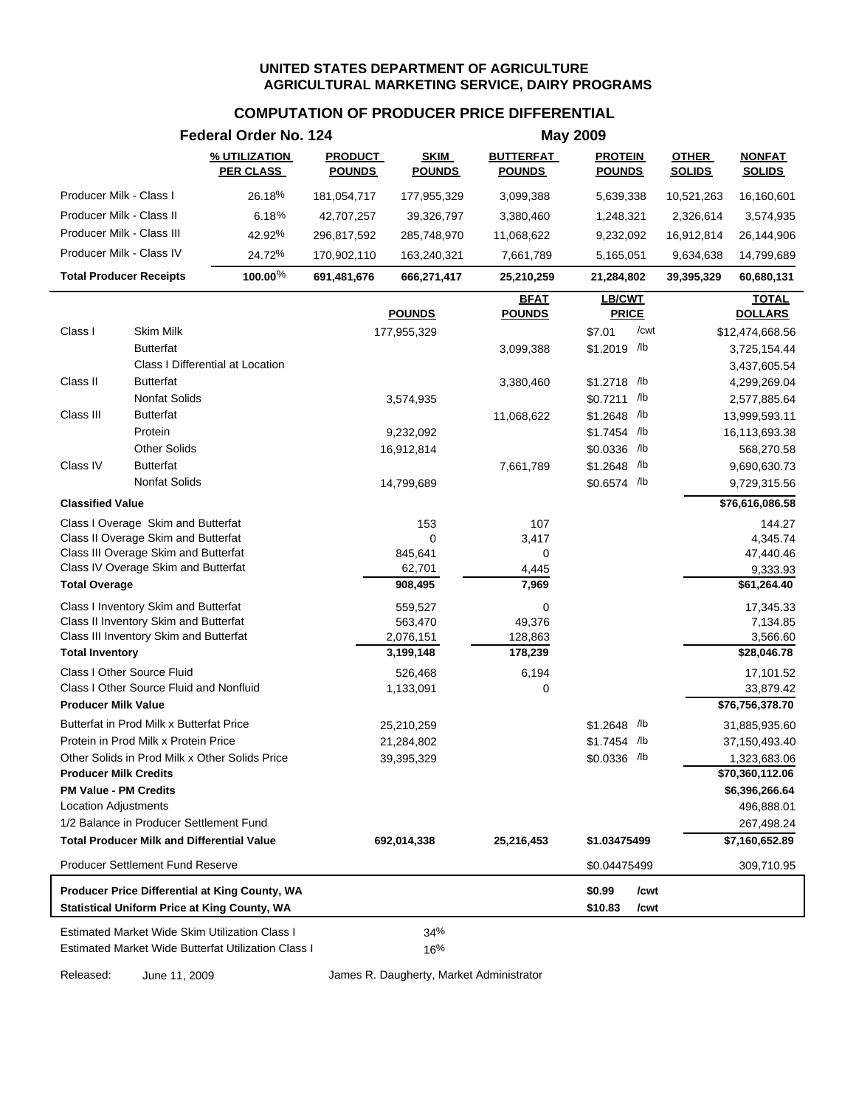# **COMPUTATION OF PRODUCER PRICE DIFFERENTIAL**

|                             |                                                                           | Federal Order No. 124                                 |                                 |                              |                                   | <b>May 2009</b>                 |                               |                                |
|-----------------------------|---------------------------------------------------------------------------|-------------------------------------------------------|---------------------------------|------------------------------|-----------------------------------|---------------------------------|-------------------------------|--------------------------------|
|                             |                                                                           | % UTILIZATION<br><b>PER CLASS</b>                     | <b>PRODUCT</b><br><b>POUNDS</b> | <b>SKIM</b><br><b>POUNDS</b> | <b>BUTTERFAT</b><br><u>POUNDS</u> | <b>PROTEIN</b><br><b>POUNDS</b> | <b>OTHER</b><br><b>SOLIDS</b> | <b>NONFAT</b><br><b>SOLIDS</b> |
|                             | Producer Milk - Class I                                                   | 26.18%                                                | 181,054,717                     | 177,955,329                  | 3,099,388                         | 5,639,338                       | 10,521,263                    | 16,160,601                     |
|                             | Producer Milk - Class II                                                  | 6.18%                                                 | 42,707,257                      | 39,326,797                   | 3,380,460                         | 1,248,321                       | 2,326,614                     | 3,574,935                      |
|                             | Producer Milk - Class III                                                 | 42.92%                                                | 296,817,592                     | 285,748,970                  | 11,068,622                        | 9,232,092                       | 16,912,814                    | 26,144,906                     |
|                             | Producer Milk - Class IV                                                  | 24.72%                                                | 170,902,110                     | 163,240,321                  | 7,661,789                         | 5,165,051                       | 9,634,638                     | 14,799,689                     |
|                             | <b>Total Producer Receipts</b>                                            | 100.00%                                               | 691,481,676                     | 666,271,417                  | 25,210,259                        | 21,284,802                      | 39,395,329                    | 60,680,131                     |
|                             |                                                                           |                                                       |                                 |                              | <b>BFAT</b>                       | LB/CWT                          |                               | <b>TOTAL</b>                   |
|                             |                                                                           |                                                       |                                 | <b>POUNDS</b>                | <b>POUNDS</b>                     | <b>PRICE</b>                    |                               | <b>DOLLARS</b>                 |
| Class I                     | Skim Milk                                                                 |                                                       |                                 | 177,955,329                  |                                   | /cwt<br>\$7.01                  |                               | \$12,474,668.56                |
|                             | <b>Butterfat</b>                                                          |                                                       |                                 |                              | 3,099,388                         | \$1.2019 /lb                    |                               | 3,725,154.44                   |
|                             |                                                                           | Class I Differential at Location                      |                                 |                              |                                   |                                 |                               | 3,437,605.54                   |
| Class II                    | <b>Butterfat</b>                                                          |                                                       |                                 |                              | 3,380,460                         | \$1.2718 /lb                    |                               | 4,299,269.04                   |
|                             | <b>Nonfat Solids</b>                                                      |                                                       |                                 | 3,574,935                    |                                   | \$0.7211 /lb                    |                               | 2,577,885.64                   |
| Class III                   | <b>Butterfat</b>                                                          |                                                       |                                 |                              | 11,068,622                        | \$1.2648 /lb                    |                               | 13,999,593.11                  |
|                             | Protein<br><b>Other Solids</b>                                            |                                                       |                                 | 9,232,092                    |                                   | \$1.7454 /lb                    |                               | 16,113,693.38                  |
| Class IV                    | <b>Butterfat</b>                                                          |                                                       |                                 | 16,912,814                   |                                   | \$0.0336 /lb<br>\$1.2648 /lb    |                               | 568,270.58<br>9,690,630.73     |
|                             | <b>Nonfat Solids</b>                                                      |                                                       |                                 | 14,799,689                   | 7,661,789                         | \$0.6574 /lb                    |                               |                                |
|                             |                                                                           |                                                       |                                 |                              |                                   |                                 |                               | 9,729,315.56                   |
| <b>Classified Value</b>     |                                                                           |                                                       |                                 |                              |                                   |                                 |                               | \$76,616,086.58                |
|                             | Class I Overage Skim and Butterfat<br>Class II Overage Skim and Butterfat |                                                       |                                 | 153<br>$\mathbf 0$           | 107                               |                                 |                               | 144.27                         |
|                             | Class III Overage Skim and Butterfat                                      |                                                       |                                 | 845,641                      | 3,417<br>0                        |                                 |                               | 4,345.74<br>47,440.46          |
|                             | Class IV Overage Skim and Butterfat                                       |                                                       |                                 | 62,701                       | 4,445                             |                                 |                               | 9,333.93                       |
| <b>Total Overage</b>        |                                                                           |                                                       |                                 | 908,495                      | 7,969                             |                                 |                               | \$61,264.40                    |
|                             | Class I Inventory Skim and Butterfat                                      |                                                       |                                 | 559,527                      | 0                                 |                                 |                               | 17,345.33                      |
|                             | Class II Inventory Skim and Butterfat                                     |                                                       |                                 | 563,470                      | 49,376                            |                                 |                               | 7,134.85                       |
|                             | Class III Inventory Skim and Butterfat                                    |                                                       |                                 | 2,076,151                    | 128,863                           |                                 |                               | 3,566.60                       |
| <b>Total Inventory</b>      |                                                                           |                                                       |                                 | 3,199,148                    | 178,239                           |                                 |                               | \$28,046.78                    |
|                             | Class I Other Source Fluid                                                |                                                       |                                 | 526,468                      | 6,194                             |                                 |                               | 17,101.52                      |
|                             | Class I Other Source Fluid and Nonfluid                                   |                                                       |                                 | 1,133,091                    | 0                                 |                                 |                               | 33,879.42                      |
| <b>Producer Milk Value</b>  |                                                                           |                                                       |                                 |                              |                                   |                                 |                               | \$76,756,378.70                |
|                             | Butterfat in Prod Milk x Butterfat Price                                  |                                                       |                                 | 25,210,259                   |                                   | $$1.2648$ /lb                   |                               | 31,885,935.60                  |
|                             | Protein in Prod Milk x Protein Price                                      |                                                       |                                 | 21,284,802                   |                                   | \$1.7454 /lb                    |                               | 37,150,493.40                  |
|                             |                                                                           | Other Solids in Prod Milk x Other Solids Price        |                                 | 39,395,329                   |                                   | \$0.0336 /lb                    |                               | 1,323,683.06                   |
|                             | <b>Producer Milk Credits</b>                                              |                                                       |                                 |                              |                                   |                                 |                               | \$70,360,112.06                |
|                             | <b>PM Value - PM Credits</b>                                              |                                                       |                                 |                              |                                   |                                 |                               | \$6,396,266.64                 |
| <b>Location Adjustments</b> |                                                                           |                                                       |                                 |                              |                                   |                                 |                               | 496,888.01                     |
|                             | 1/2 Balance in Producer Settlement Fund                                   |                                                       |                                 |                              |                                   |                                 |                               | 267,498.24                     |
|                             | <b>Total Producer Milk and Differential Value</b>                         |                                                       |                                 | 692,014,338                  | 25,216,453                        | \$1.03475499                    |                               | \$7,160,652.89                 |
|                             | <b>Producer Settlement Fund Reserve</b>                                   |                                                       |                                 |                              |                                   | \$0.04475499                    |                               | 309,710.95                     |
|                             |                                                                           | Producer Price Differential at King County, WA        |                                 |                              |                                   | \$0.99<br>/cwt                  |                               |                                |
|                             |                                                                           | <b>Statistical Uniform Price at King County, WA</b>   |                                 |                              |                                   | \$10.83<br>/cwt                 |                               |                                |
|                             |                                                                           | <b>Estimated Market Wide Skim Utilization Class I</b> |                                 | 34%                          |                                   |                                 |                               |                                |
|                             |                                                                           | Estimated Market Wide Butterfat Utilization Class I   |                                 | 16%                          |                                   |                                 |                               |                                |

Released: June 11, 2009 James R. Daugherty, Market Administrator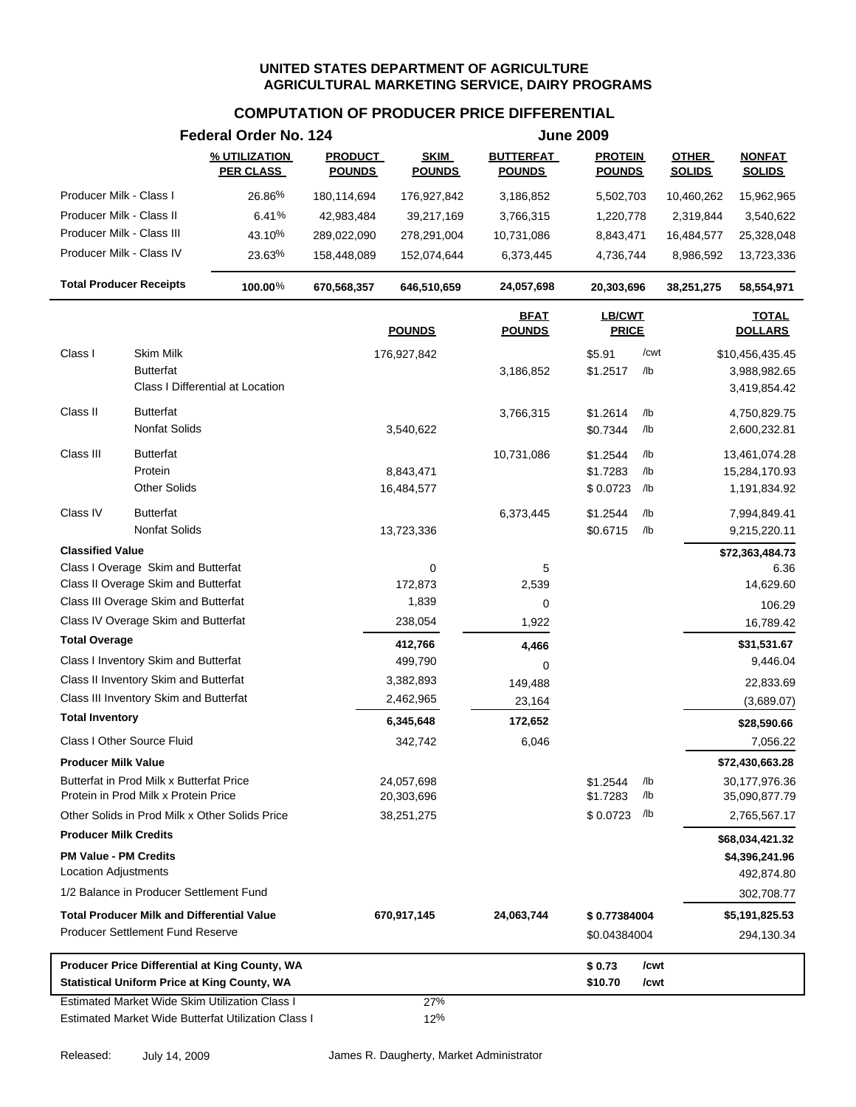|                                                                                  |                                                    | Federal Order No. 124                                                                                        |                                 |                              |                                   | <b>June 2009</b>                 |                   |                               |                                                 |
|----------------------------------------------------------------------------------|----------------------------------------------------|--------------------------------------------------------------------------------------------------------------|---------------------------------|------------------------------|-----------------------------------|----------------------------------|-------------------|-------------------------------|-------------------------------------------------|
|                                                                                  |                                                    | % UTILIZATION<br><b>PER CLASS</b>                                                                            | <b>PRODUCT</b><br><b>POUNDS</b> | <b>SKIM</b><br><b>POUNDS</b> | <b>BUTTERFAT</b><br><b>POUNDS</b> | <b>PROTEIN</b><br><b>POUNDS</b>  |                   | <b>OTHER</b><br><b>SOLIDS</b> | <b>NONFAT</b><br><b>SOLIDS</b>                  |
| Producer Milk - Class I                                                          |                                                    | 26.86%                                                                                                       | 180,114,694                     | 176,927,842                  | 3,186,852                         | 5,502,703                        |                   | 10,460,262                    | 15,962,965                                      |
| Producer Milk - Class II                                                         |                                                    | 6.41%                                                                                                        | 42,983,484                      | 39,217,169                   | 3,766,315                         | 1,220,778                        |                   | 2,319,844                     | 3,540,622                                       |
| Producer Milk - Class III                                                        |                                                    | 43.10%                                                                                                       | 289,022,090                     | 278,291,004                  | 10,731,086                        | 8,843,471                        |                   | 16,484,577                    | 25,328,048                                      |
| Producer Milk - Class IV                                                         |                                                    | 23.63%                                                                                                       | 158,448,089                     | 152,074,644                  | 6,373,445                         | 4,736,744                        |                   | 8,986,592                     | 13,723,336                                      |
| <b>Total Producer Receipts</b>                                                   |                                                    | 100.00%                                                                                                      | 670,568,357                     | 646,510,659                  | 24,057,698                        | 20,303,696                       |                   | 38,251,275                    | 58,554,971                                      |
|                                                                                  |                                                    |                                                                                                              |                                 | <b>POUNDS</b>                | <b>BFAT</b><br><b>POUNDS</b>      | <b>LB/CWT</b><br><b>PRICE</b>    |                   |                               | <b>TOTAL</b><br><b>DOLLARS</b>                  |
| Class I                                                                          | Skim Milk<br><b>Butterfat</b>                      | Class I Differential at Location                                                                             |                                 | 176,927,842                  | 3,186,852                         | \$5.91<br>\$1.2517               | /cwt<br>/lb       |                               | \$10,456,435.45<br>3,988,982.65<br>3,419,854.42 |
| Class II                                                                         | <b>Butterfat</b><br>Nonfat Solids                  |                                                                                                              |                                 | 3,540,622                    | 3,766,315                         | \$1.2614<br>\$0.7344             | /lb<br>/lb        |                               | 4,750,829.75<br>2,600,232.81                    |
| Class III                                                                        | <b>Butterfat</b><br>Protein<br><b>Other Solids</b> |                                                                                                              |                                 | 8,843,471<br>16,484,577      | 10,731,086                        | \$1.2544<br>\$1.7283<br>\$0.0723 | /lb<br>/lb<br>/lb |                               | 13,461,074.28<br>15,284,170.93<br>1,191,834.92  |
| Class IV                                                                         | <b>Butterfat</b><br>Nonfat Solids                  |                                                                                                              |                                 | 13,723,336                   | 6,373,445                         | \$1.2544<br>\$0.6715             | /lb<br>/lb        |                               | 7,994,849.41<br>9,215,220.11                    |
| <b>Classified Value</b>                                                          |                                                    |                                                                                                              |                                 |                              |                                   |                                  |                   |                               | \$72,363,484.73                                 |
| Class I Overage Skim and Butterfat                                               |                                                    |                                                                                                              |                                 | 0                            | 5                                 |                                  |                   |                               | 6.36                                            |
| Class II Overage Skim and Butterfat                                              |                                                    |                                                                                                              |                                 | 172,873                      | 2,539                             |                                  |                   |                               | 14,629.60                                       |
| Class III Overage Skim and Butterfat                                             |                                                    |                                                                                                              |                                 | 1,839                        | 0                                 |                                  |                   |                               | 106.29                                          |
| Class IV Overage Skim and Butterfat                                              |                                                    |                                                                                                              |                                 | 238,054                      | 1,922                             |                                  |                   |                               | 16,789.42                                       |
| <b>Total Overage</b>                                                             |                                                    |                                                                                                              |                                 | 412,766                      | 4,466                             |                                  |                   |                               | \$31,531.67                                     |
| Class I Inventory Skim and Butterfat                                             |                                                    |                                                                                                              |                                 | 499,790                      | 0                                 |                                  |                   |                               | 9,446.04                                        |
| Class II Inventory Skim and Butterfat                                            |                                                    |                                                                                                              |                                 | 3,382,893                    | 149,488                           |                                  |                   |                               | 22,833.69                                       |
| Class III Inventory Skim and Butterfat<br><b>Total Inventory</b>                 |                                                    |                                                                                                              |                                 | 2,462,965                    | 23,164                            |                                  |                   |                               | (3,689.07)                                      |
|                                                                                  |                                                    |                                                                                                              |                                 | 6,345,648                    | 172,652                           |                                  |                   |                               | \$28,590.66                                     |
| Class I Other Source Fluid                                                       |                                                    |                                                                                                              |                                 | 342,742                      | 6,046                             |                                  |                   |                               | 7,056.22                                        |
| <b>Producer Milk Value</b>                                                       |                                                    |                                                                                                              |                                 |                              |                                   |                                  |                   |                               | \$72,430,663.28                                 |
| Butterfat in Prod Milk x Butterfat Price<br>Protein in Prod Milk x Protein Price |                                                    |                                                                                                              |                                 | 24,057,698<br>20,303,696     |                                   | \$1.2544<br>\$1.7283             | /lb<br>/lb        |                               | 30,177,976.36<br>35,090,877.79                  |
| Other Solids in Prod Milk x Other Solids Price                                   |                                                    |                                                                                                              |                                 | 38,251,275                   |                                   | \$0.0723                         | /lb               |                               | 2,765,567.17                                    |
| <b>Producer Milk Credits</b>                                                     |                                                    |                                                                                                              |                                 |                              |                                   |                                  |                   |                               | \$68,034,421.32                                 |
| <b>PM Value - PM Credits</b><br><b>Location Adjustments</b>                      |                                                    |                                                                                                              |                                 |                              |                                   |                                  |                   |                               | \$4,396,241.96<br>492,874.80                    |
| 1/2 Balance in Producer Settlement Fund                                          |                                                    |                                                                                                              |                                 |                              |                                   |                                  |                   |                               | 302,708.77                                      |
| <b>Total Producer Milk and Differential Value</b>                                |                                                    |                                                                                                              |                                 | 670,917,145                  | 24,063,744                        | \$0.77384004                     |                   |                               | \$5,191,825.53                                  |
| <b>Producer Settlement Fund Reserve</b>                                          |                                                    |                                                                                                              |                                 |                              |                                   | \$0.04384004                     |                   |                               | 294,130.34                                      |
| <b>Statistical Uniform Price at King County, WA</b>                              |                                                    | Producer Price Differential at King County, WA                                                               |                                 |                              |                                   | \$0.73<br>\$10.70                | /cwt<br>/cwt      |                               |                                                 |
|                                                                                  |                                                    | <b>Estimated Market Wide Skim Utilization Class I</b><br>Estimated Market Wide Butterfat Utilization Class I |                                 | 27%<br>12%                   |                                   |                                  |                   |                               |                                                 |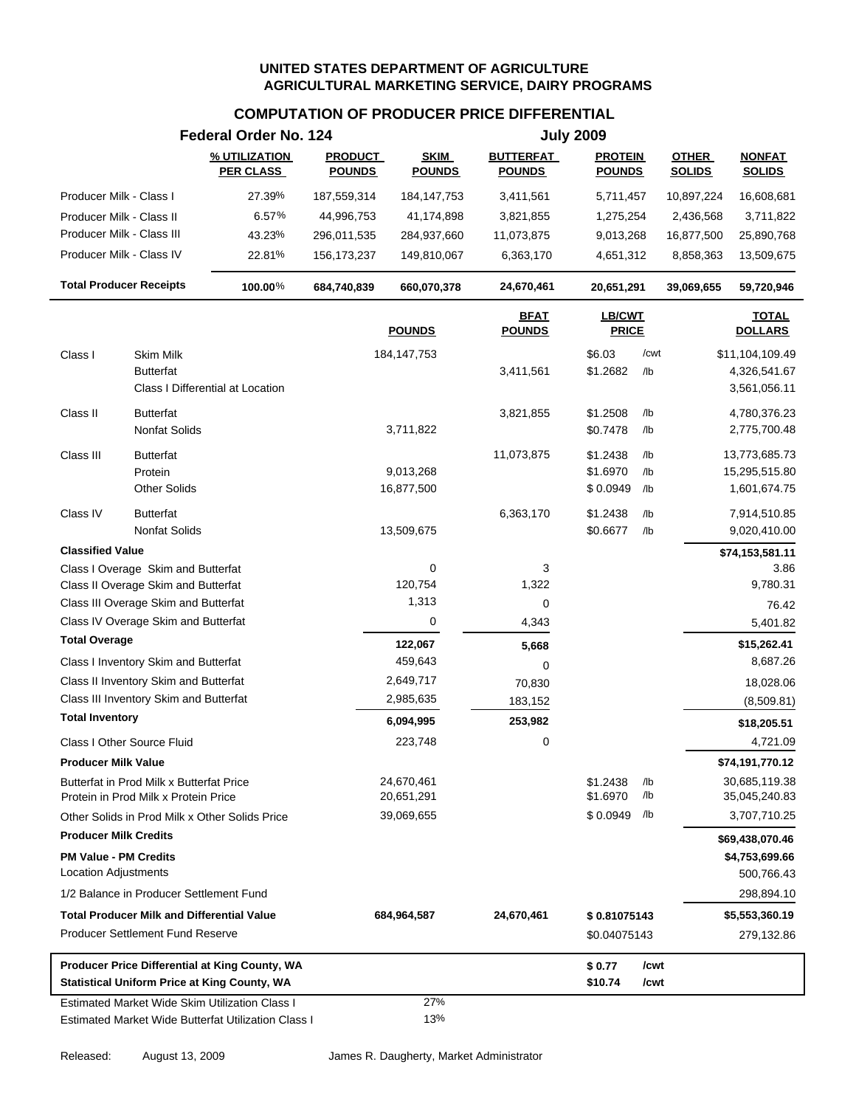|                                                             |                                                                                  | Federal Order No. 124                                                                                        |                                 |                              |                                   | <b>July 2009</b>                 |                   |                               |                                                 |  |
|-------------------------------------------------------------|----------------------------------------------------------------------------------|--------------------------------------------------------------------------------------------------------------|---------------------------------|------------------------------|-----------------------------------|----------------------------------|-------------------|-------------------------------|-------------------------------------------------|--|
|                                                             |                                                                                  | % UTILIZATION<br><b>PER CLASS</b>                                                                            | <b>PRODUCT</b><br><b>POUNDS</b> | <b>SKIM</b><br><b>POUNDS</b> | <b>BUTTERFAT</b><br><b>POUNDS</b> | <b>PROTEIN</b><br><b>POUNDS</b>  |                   | <b>OTHER</b><br><b>SOLIDS</b> | <b>NONFAT</b><br><b>SOLIDS</b>                  |  |
| Producer Milk - Class I                                     |                                                                                  | 27.39%                                                                                                       | 187,559,314                     | 184, 147, 753                | 3,411,561                         | 5,711,457                        |                   | 10,897,224                    | 16,608,681                                      |  |
| Producer Milk - Class II                                    |                                                                                  | 6.57%                                                                                                        | 44,996,753                      | 41,174,898                   | 3,821,855                         | 1,275,254                        |                   | 2,436,568                     | 3,711,822                                       |  |
| Producer Milk - Class III                                   |                                                                                  | 43.23%                                                                                                       | 296,011,535                     | 284,937,660                  | 11,073,875                        | 9,013,268                        |                   | 16,877,500                    | 25,890,768                                      |  |
| Producer Milk - Class IV                                    |                                                                                  | 22.81%                                                                                                       | 156, 173, 237                   | 149,810,067                  | 6,363,170                         | 4,651,312                        |                   | 8,858,363                     | 13,509,675                                      |  |
|                                                             | <b>Total Producer Receipts</b>                                                   | 100.00%                                                                                                      | 684,740,839                     | 660,070,378                  | 24,670,461                        | 20,651,291                       |                   | 39,069,655                    | 59,720,946                                      |  |
|                                                             |                                                                                  |                                                                                                              |                                 | <b>POUNDS</b>                | <b>BFAT</b><br><b>POUNDS</b>      | LB/CWT<br><b>PRICE</b>           |                   |                               | <b>TOTAL</b><br><b>DOLLARS</b>                  |  |
| Class I                                                     | <b>Skim Milk</b><br><b>Butterfat</b>                                             | Class I Differential at Location                                                                             |                                 | 184, 147, 753                | 3,411,561                         | \$6.03<br>\$1.2682               | /cwt<br>/lb       |                               | \$11,104,109.49<br>4,326,541.67<br>3,561,056.11 |  |
| Class II                                                    | <b>Butterfat</b><br>Nonfat Solids                                                |                                                                                                              |                                 | 3,711,822                    | 3,821,855                         | \$1.2508<br>\$0.7478             | /lb<br>/lb        |                               | 4,780,376.23<br>2,775,700.48                    |  |
| Class III                                                   | <b>Butterfat</b><br>Protein<br><b>Other Solids</b>                               |                                                                                                              |                                 | 9,013,268<br>16,877,500      | 11,073,875                        | \$1.2438<br>\$1.6970<br>\$0.0949 | /lb<br>/lb<br>/lb |                               | 13,773,685.73<br>15,295,515.80<br>1,601,674.75  |  |
| Class IV                                                    | <b>Butterfat</b><br>Nonfat Solids                                                |                                                                                                              |                                 | 13,509,675                   | 6,363,170                         | \$1.2438<br>\$0.6677             | /lb<br>$/$ lb     |                               | 7,914,510.85<br>9,020,410.00                    |  |
| <b>Classified Value</b>                                     |                                                                                  |                                                                                                              |                                 |                              |                                   |                                  |                   |                               | \$74,153,581.11                                 |  |
|                                                             | Class I Overage Skim and Butterfat                                               |                                                                                                              |                                 | $\mathbf 0$                  | 3                                 |                                  |                   |                               | 3.86                                            |  |
|                                                             | Class II Overage Skim and Butterfat                                              |                                                                                                              |                                 | 120,754                      | 1,322                             |                                  |                   |                               | 9,780.31                                        |  |
|                                                             | Class III Overage Skim and Butterfat                                             |                                                                                                              |                                 | 1,313                        | 0                                 |                                  |                   |                               | 76.42                                           |  |
|                                                             | Class IV Overage Skim and Butterfat                                              |                                                                                                              |                                 | 0                            | 4,343                             |                                  |                   |                               | 5,401.82                                        |  |
| <b>Total Overage</b>                                        |                                                                                  |                                                                                                              |                                 | 122,067                      | 5,668                             |                                  |                   |                               | \$15,262.41                                     |  |
|                                                             | Class I Inventory Skim and Butterfat                                             |                                                                                                              |                                 | 459,643                      | 0                                 |                                  |                   |                               | 8,687.26                                        |  |
|                                                             | Class II Inventory Skim and Butterfat                                            |                                                                                                              |                                 | 2,649,717                    | 70,830                            |                                  |                   |                               | 18,028.06                                       |  |
|                                                             | Class III Inventory Skim and Butterfat                                           |                                                                                                              |                                 | 2,985,635                    | 183,152                           |                                  |                   |                               | (8,509.81)                                      |  |
| <b>Total Inventory</b>                                      |                                                                                  |                                                                                                              |                                 | 6,094,995                    | 253,982                           |                                  |                   |                               | \$18,205.51                                     |  |
|                                                             | Class I Other Source Fluid                                                       |                                                                                                              |                                 | 223,748                      | 0                                 |                                  |                   |                               | 4,721.09                                        |  |
| <b>Producer Milk Value</b>                                  |                                                                                  |                                                                                                              |                                 |                              |                                   |                                  |                   |                               | \$74,191,770.12                                 |  |
|                                                             | Butterfat in Prod Milk x Butterfat Price<br>Protein in Prod Milk x Protein Price |                                                                                                              |                                 | 24,670,461<br>20,651,291     |                                   | \$1.2438<br>\$1.6970             | /lb<br>/lb        |                               | 30,685,119.38<br>35,045,240.83                  |  |
|                                                             | Other Solids in Prod Milk x Other Solids Price                                   |                                                                                                              |                                 | 39,069,655                   |                                   | \$0.0949                         | /lb               |                               | 3,707,710.25                                    |  |
| <b>Producer Milk Credits</b>                                |                                                                                  |                                                                                                              |                                 |                              |                                   |                                  |                   |                               | \$69,438,070.46                                 |  |
| <b>PM Value - PM Credits</b><br><b>Location Adjustments</b> |                                                                                  |                                                                                                              |                                 |                              |                                   |                                  |                   |                               | \$4,753,699.66<br>500,766.43                    |  |
|                                                             | 1/2 Balance in Producer Settlement Fund                                          |                                                                                                              |                                 |                              |                                   |                                  |                   |                               | 298,894.10                                      |  |
|                                                             | <b>Total Producer Milk and Differential Value</b>                                |                                                                                                              |                                 | 684,964,587                  | 24,670,461                        | \$0.81075143                     |                   |                               | \$5,553,360.19                                  |  |
|                                                             | <b>Producer Settlement Fund Reserve</b>                                          |                                                                                                              |                                 |                              |                                   | \$0.04075143                     |                   |                               | 279,132.86                                      |  |
|                                                             | <b>Statistical Uniform Price at King County, WA</b>                              | Producer Price Differential at King County, WA                                                               |                                 |                              |                                   | \$0.77<br>\$10.74                | /cwt<br>/cwt      |                               |                                                 |  |
|                                                             |                                                                                  | <b>Estimated Market Wide Skim Utilization Class I</b><br>Estimated Market Wide Butterfat Utilization Class I |                                 | 27%<br>13%                   |                                   |                                  |                   |                               |                                                 |  |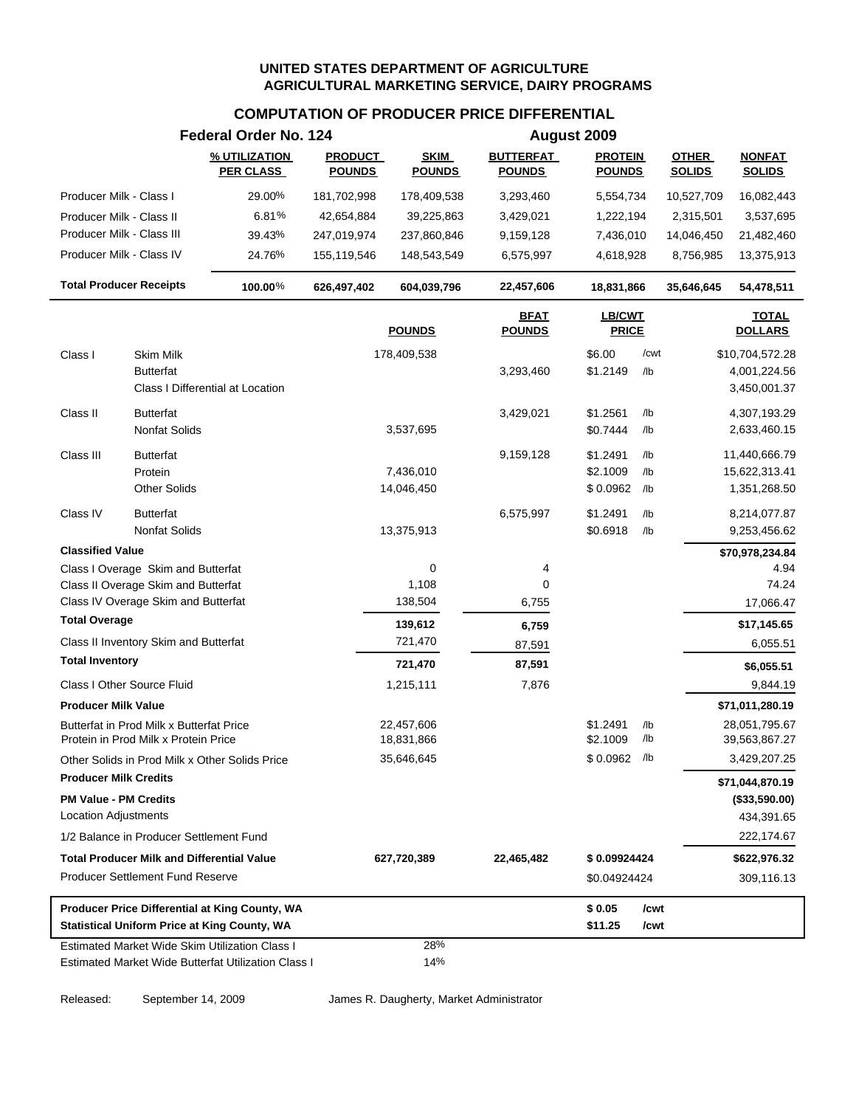#### **COMPUTATION OF PRODUCER PRICE DIFFERENTIAL**

|                                                                                                       | Federal Order No. 124             |                                 |                              |                                   | August 2009                     |              |                               |                                |
|-------------------------------------------------------------------------------------------------------|-----------------------------------|---------------------------------|------------------------------|-----------------------------------|---------------------------------|--------------|-------------------------------|--------------------------------|
|                                                                                                       | % UTILIZATION<br><b>PER CLASS</b> | <b>PRODUCT</b><br><b>POUNDS</b> | <b>SKIM</b><br><b>POUNDS</b> | <b>BUTTERFAT</b><br><b>POUNDS</b> | <b>PROTEIN</b><br><b>POUNDS</b> |              | <b>OTHER</b><br><b>SOLIDS</b> | <b>NONFAT</b><br><b>SOLIDS</b> |
| Producer Milk - Class I                                                                               | 29.00%                            | 181,702,998                     | 178,409,538                  | 3,293,460                         | 5,554,734                       |              | 10,527,709                    | 16,082,443                     |
| Producer Milk - Class II                                                                              | 6.81%                             | 42,654,884                      | 39,225,863                   | 3,429,021                         | 1,222,194                       |              | 2,315,501                     | 3,537,695                      |
| Producer Milk - Class III                                                                             | 39.43%                            | 247,019,974                     | 237,860,846                  | 9,159,128                         | 7,436,010                       |              | 14,046,450                    | 21,482,460                     |
| Producer Milk - Class IV                                                                              | 24.76%                            | 155,119,546                     | 148,543,549                  | 6,575,997                         | 4,618,928                       |              | 8,756,985                     | 13,375,913                     |
| <b>Total Producer Receipts</b>                                                                        | 100.00%                           | 626,497,402                     | 604,039,796                  | 22,457,606                        | 18,831,866                      |              | 35,646,645                    | 54,478,511                     |
|                                                                                                       |                                   |                                 | <b>POUNDS</b>                | <b>BFAT</b><br><b>POUNDS</b>      | LB/CWT<br><b>PRICE</b>          |              |                               | <b>TOTAL</b><br><b>DOLLARS</b> |
| <b>Skim Milk</b><br>Class I                                                                           |                                   |                                 | 178,409,538                  |                                   | \$6.00                          | /cwt         |                               | \$10,704,572.28                |
| <b>Butterfat</b>                                                                                      |                                   |                                 |                              | 3,293,460                         | \$1.2149                        | /lb          |                               | 4,001,224.56                   |
| Class I Differential at Location                                                                      |                                   |                                 |                              |                                   |                                 |              |                               | 3,450,001.37                   |
| <b>Butterfat</b><br>Class II                                                                          |                                   |                                 |                              | 3,429,021                         | \$1.2561                        | /lb          |                               | 4,307,193.29                   |
| Nonfat Solids                                                                                         |                                   |                                 | 3,537,695                    |                                   | \$0.7444                        | /lb          |                               | 2,633,460.15                   |
| Class III<br><b>Butterfat</b>                                                                         |                                   |                                 |                              | 9,159,128                         | \$1.2491                        | /lb          |                               | 11,440,666.79                  |
| Protein                                                                                               |                                   |                                 | 7,436,010                    |                                   | \$2.1009                        | /lb          |                               | 15,622,313.41                  |
| <b>Other Solids</b>                                                                                   |                                   |                                 | 14,046,450                   |                                   | $$0.0962$ /lb                   |              |                               | 1,351,268.50                   |
| <b>Butterfat</b><br>Class IV                                                                          |                                   |                                 |                              | 6,575,997                         | \$1.2491                        | /lb          |                               | 8,214,077.87                   |
| <b>Nonfat Solids</b>                                                                                  |                                   |                                 | 13,375,913                   |                                   | \$0.6918                        | /lb          |                               | 9,253,456.62                   |
| <b>Classified Value</b>                                                                               |                                   |                                 |                              |                                   |                                 |              |                               | \$70,978,234.84                |
| Class I Overage Skim and Butterfat                                                                    |                                   |                                 | 0                            | 4                                 |                                 |              |                               | 4.94                           |
| Class II Overage Skim and Butterfat                                                                   |                                   |                                 | 1,108<br>138,504             | 0                                 |                                 |              |                               | 74.24                          |
| Class IV Overage Skim and Butterfat<br><b>Total Overage</b>                                           |                                   |                                 |                              | 6,755                             |                                 |              |                               | 17,066.47                      |
| Class II Inventory Skim and Butterfat                                                                 |                                   |                                 | 139,612<br>721,470           | 6,759                             |                                 |              |                               | \$17,145.65                    |
| <b>Total Inventory</b>                                                                                |                                   |                                 | 721,470                      | 87,591<br>87,591                  |                                 |              |                               | 6,055.51                       |
| Class I Other Source Fluid                                                                            |                                   |                                 | 1,215,111                    | 7,876                             |                                 |              |                               | \$6,055.51<br>9,844.19         |
| <b>Producer Milk Value</b>                                                                            |                                   |                                 |                              |                                   |                                 |              |                               | \$71,011,280.19                |
| Butterfat in Prod Milk x Butterfat Price<br>Protein in Prod Milk x Protein Price                      |                                   |                                 | 22,457,606<br>18,831,866     |                                   | \$1.2491<br>\$2.1009            | /lb<br>/lb   |                               | 28,051,795.67<br>39,563,867.27 |
| Other Solids in Prod Milk x Other Solids Price                                                        |                                   |                                 | 35,646,645                   |                                   | $$0.0962$ /lb                   |              |                               | 3,429,207.25                   |
| <b>Producer Milk Credits</b>                                                                          |                                   |                                 |                              |                                   |                                 |              |                               | \$71,044,870.19                |
| <b>PM Value - PM Credits</b>                                                                          |                                   |                                 |                              |                                   |                                 |              |                               | (\$33,590.00)                  |
| <b>Location Adjustments</b>                                                                           |                                   |                                 |                              |                                   |                                 |              |                               | 434,391.65                     |
| 1/2 Balance in Producer Settlement Fund                                                               |                                   |                                 |                              |                                   |                                 |              |                               | 222,174.67                     |
| <b>Total Producer Milk and Differential Value</b>                                                     |                                   |                                 | 627,720,389                  | 22,465,482                        | \$0.09924424                    |              |                               | \$622,976.32                   |
| <b>Producer Settlement Fund Reserve</b>                                                               |                                   |                                 |                              |                                   | \$0.04924424                    |              |                               | 309,116.13                     |
| Producer Price Differential at King County, WA<br><b>Statistical Uniform Price at King County, WA</b> |                                   |                                 |                              |                                   | \$0.05<br>\$11.25               | /cwt<br>/cwt |                               |                                |
| Estimated Market Wide Skim Utilization Class I                                                        |                                   |                                 | 28%                          |                                   |                                 |              |                               |                                |
| Estimated Market Wide Butterfat Utilization Class I                                                   |                                   |                                 | 14%                          |                                   |                                 |              |                               |                                |

Released: September 14, 2009 James R. Daugherty, Market Administrator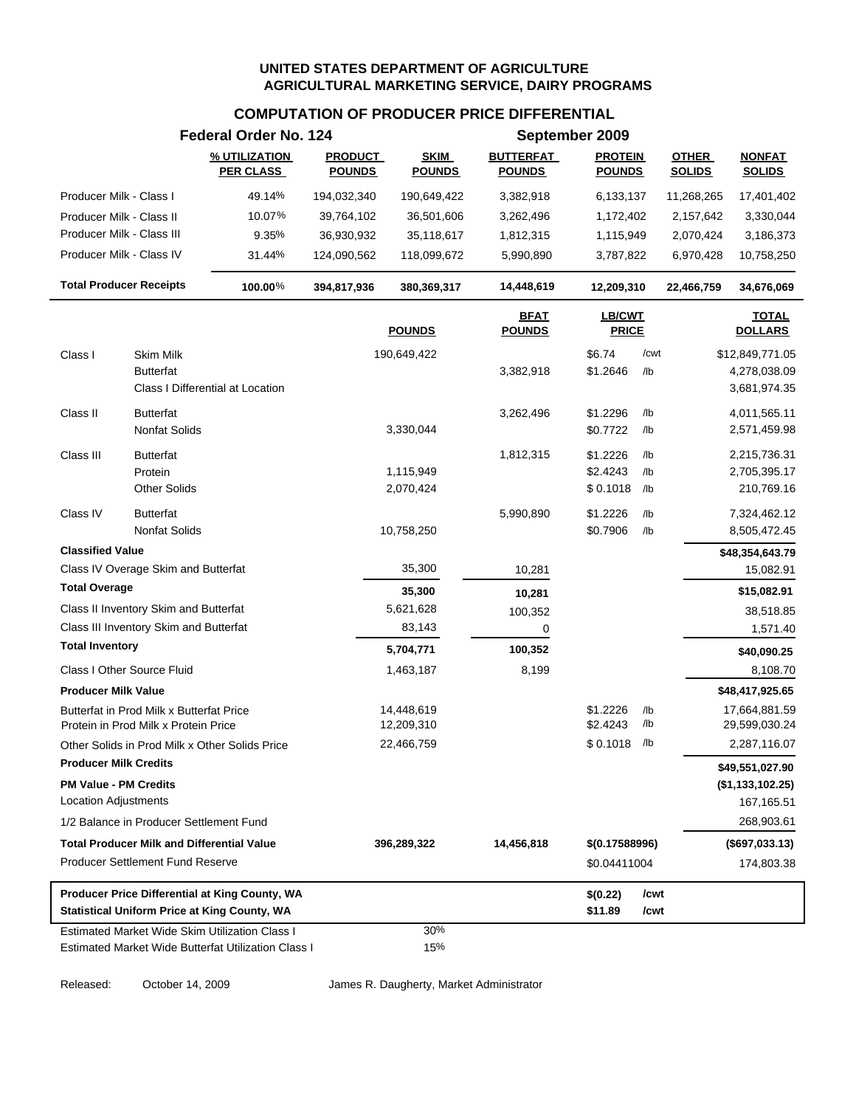### **COMPUTATION OF PRODUCER PRICE DIFFERENTIAL**

|                                                      |                                                                                  | Federal Order No. 124                                                                                 |                                 |                              |                                   | September 2009                  |              |                               |                                |
|------------------------------------------------------|----------------------------------------------------------------------------------|-------------------------------------------------------------------------------------------------------|---------------------------------|------------------------------|-----------------------------------|---------------------------------|--------------|-------------------------------|--------------------------------|
|                                                      |                                                                                  | % UTILIZATION<br><b>PER CLASS</b>                                                                     | <b>PRODUCT</b><br><b>POUNDS</b> | <b>SKIM</b><br><b>POUNDS</b> | <b>BUTTERFAT</b><br><b>POUNDS</b> | <b>PROTEIN</b><br><b>POUNDS</b> |              | <b>OTHER</b><br><b>SOLIDS</b> | <b>NONFAT</b><br><b>SOLIDS</b> |
| Producer Milk - Class I                              |                                                                                  | 49.14%                                                                                                | 194,032,340                     | 190,649,422                  | 3,382,918                         | 6,133,137                       |              | 11,268,265                    | 17,401,402                     |
|                                                      | Producer Milk - Class II                                                         | 10.07%                                                                                                | 39,764,102                      | 36,501,606                   | 3,262,496                         | 1,172,402                       |              | 2,157,642                     | 3,330,044                      |
|                                                      | Producer Milk - Class III                                                        | 9.35%                                                                                                 | 36,930,932                      | 35,118,617                   | 1,812,315                         | 1,115,949                       |              | 2,070,424                     | 3,186,373                      |
|                                                      | Producer Milk - Class IV                                                         | 31.44%                                                                                                | 124,090,562                     | 118,099,672                  | 5,990,890                         | 3,787,822                       |              | 6,970,428                     | 10,758,250                     |
|                                                      | <b>Total Producer Receipts</b>                                                   | 100.00%                                                                                               | 394,817,936                     | 380,369,317                  | 14,448,619                        | 12,209,310                      |              | 22,466,759                    | 34,676,069                     |
|                                                      |                                                                                  |                                                                                                       |                                 | <b>POUNDS</b>                | <b>BFAT</b><br><b>POUNDS</b>      | LB/CWT<br><b>PRICE</b>          |              |                               | <b>TOTAL</b><br><b>DOLLARS</b> |
| Class I                                              | <b>Skim Milk</b>                                                                 |                                                                                                       |                                 | 190,649,422                  |                                   | \$6.74                          | /cwt         |                               | \$12,849,771.05                |
|                                                      | Butterfat                                                                        | Class I Differential at Location                                                                      |                                 |                              | 3,382,918                         | \$1.2646                        | /lb          |                               | 4,278,038.09<br>3,681,974.35   |
| Class II                                             | <b>Butterfat</b>                                                                 |                                                                                                       |                                 |                              | 3,262,496                         | \$1.2296                        | /lb          |                               | 4,011,565.11                   |
|                                                      | <b>Nonfat Solids</b>                                                             |                                                                                                       |                                 | 3,330,044                    |                                   | \$0.7722                        | /lb          |                               | 2,571,459.98                   |
| Class III                                            | <b>Butterfat</b>                                                                 |                                                                                                       |                                 |                              | 1,812,315                         | \$1.2226                        | /lb          |                               | 2,215,736.31                   |
|                                                      | Protein                                                                          |                                                                                                       |                                 | 1,115,949                    |                                   | \$2.4243                        | /lb          |                               | 2,705,395.17                   |
|                                                      | <b>Other Solids</b>                                                              |                                                                                                       |                                 | 2,070,424                    |                                   | \$0.1018                        | /lb          |                               | 210,769.16                     |
| Class IV                                             | <b>Butterfat</b>                                                                 |                                                                                                       |                                 |                              | 5,990,890                         | \$1.2226                        | /lb          |                               | 7,324,462.12                   |
|                                                      | <b>Nonfat Solids</b>                                                             |                                                                                                       |                                 | 10,758,250                   |                                   | \$0.7906                        | /lb          |                               | 8,505,472.45                   |
| <b>Classified Value</b>                              |                                                                                  |                                                                                                       |                                 |                              |                                   |                                 |              |                               | \$48,354,643.79                |
|                                                      | Class IV Overage Skim and Butterfat                                              |                                                                                                       |                                 | 35,300                       | 10,281                            |                                 |              |                               | 15,082.91                      |
| <b>Total Overage</b>                                 |                                                                                  |                                                                                                       |                                 | 35,300                       | 10,281                            |                                 |              |                               | \$15,082.91                    |
|                                                      | Class II Inventory Skim and Butterfat                                            |                                                                                                       |                                 | 5,621,628                    | 100,352                           |                                 |              |                               | 38,518.85                      |
|                                                      | Class III Inventory Skim and Butterfat                                           |                                                                                                       |                                 | 83,143                       | 0                                 |                                 |              |                               | 1,571.40                       |
| <b>Total Inventory</b>                               |                                                                                  |                                                                                                       |                                 | 5,704,771                    | 100,352                           |                                 |              |                               | \$40,090.25                    |
|                                                      | Class I Other Source Fluid                                                       |                                                                                                       |                                 | 1,463,187                    | 8,199                             |                                 |              |                               | 8,108.70                       |
| <b>Producer Milk Value</b>                           |                                                                                  |                                                                                                       |                                 |                              |                                   |                                 |              |                               | \$48,417,925.65                |
|                                                      | Butterfat in Prod Milk x Butterfat Price<br>Protein in Prod Milk x Protein Price |                                                                                                       |                                 | 14,448,619<br>12,209,310     |                                   | \$1.2226<br>\$2.4243            | /lb<br>/lb   |                               | 17,664,881.59<br>29,599,030.24 |
|                                                      | Other Solids in Prod Milk x Other Solids Price                                   |                                                                                                       |                                 | 22,466,759                   |                                   | \$0.1018                        | /lb          |                               | 2,287,116.07                   |
| <b>Producer Milk Credits</b>                         |                                                                                  |                                                                                                       |                                 |                              |                                   |                                 |              |                               | \$49,551,027.90                |
| <b>PM Value - PM Credits</b><br>Location Adjustments |                                                                                  |                                                                                                       |                                 |                              |                                   |                                 |              |                               | (\$1,133,102.25)<br>167,165.51 |
|                                                      | 1/2 Balance in Producer Settlement Fund                                          |                                                                                                       |                                 |                              |                                   |                                 |              |                               | 268,903.61                     |
|                                                      | <b>Total Producer Milk and Differential Value</b>                                |                                                                                                       |                                 | 396,289,322                  | 14,456,818                        | \$(0.17588996)                  |              |                               | (\$697,033.13)                 |
|                                                      | <b>Producer Settlement Fund Reserve</b>                                          |                                                                                                       |                                 |                              |                                   | \$0.04411004                    |              |                               | 174,803.38                     |
|                                                      |                                                                                  | Producer Price Differential at King County, WA<br><b>Statistical Uniform Price at King County, WA</b> |                                 |                              |                                   | \$(0.22)<br>\$11.89             | /cwt<br>/cwt |                               |                                |
|                                                      |                                                                                  | Estimated Market Wide Skim Utilization Class I<br>Estimated Market Wide Butterfat Utilization Class I |                                 | 30%<br>15%                   |                                   |                                 |              |                               |                                |

Released: October 14, 2009 James R. Daugherty, Market Administrator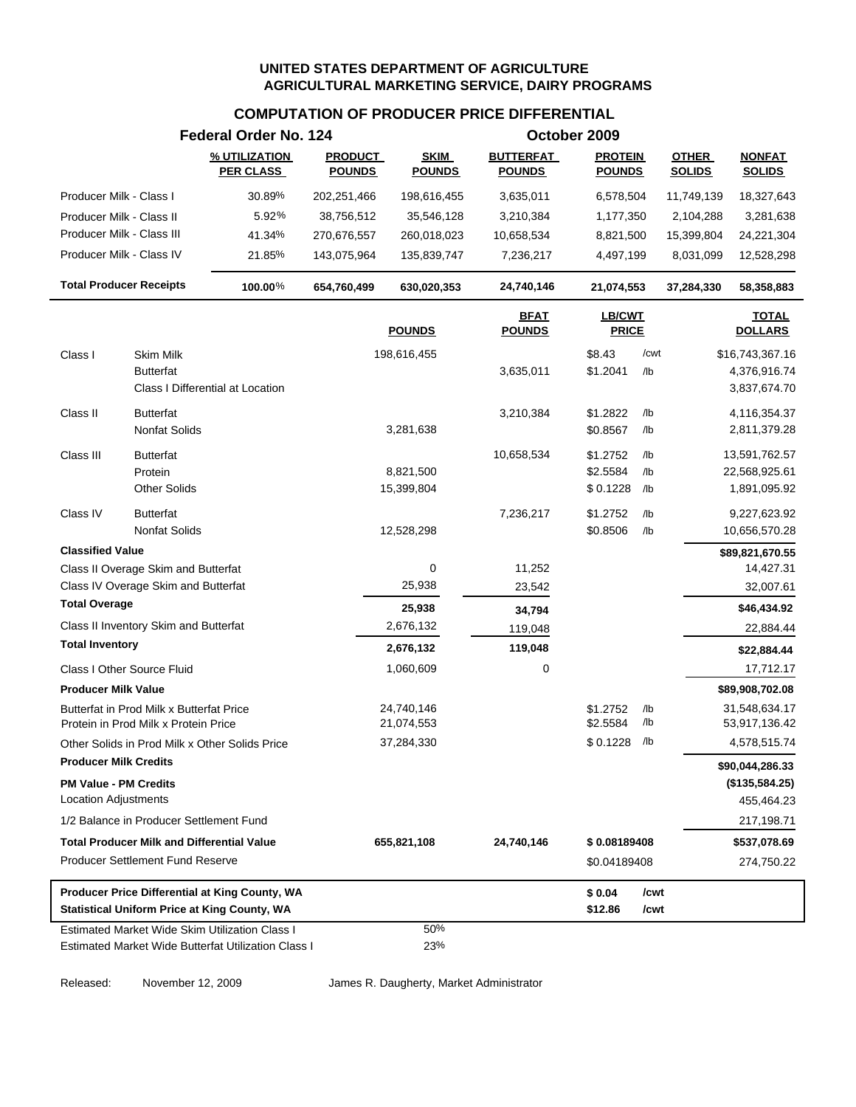# **COMPUTATION OF PRODUCER PRICE DIFFERENTIAL**

|                                                                                  |                      | Federal Order No. 124                                                                                 |                                 |                              |                                   | October 2009                    |            |                               |                                |
|----------------------------------------------------------------------------------|----------------------|-------------------------------------------------------------------------------------------------------|---------------------------------|------------------------------|-----------------------------------|---------------------------------|------------|-------------------------------|--------------------------------|
|                                                                                  |                      | % UTILIZATION<br><b>PER CLASS</b>                                                                     | <b>PRODUCT</b><br><b>POUNDS</b> | <b>SKIM</b><br><b>POUNDS</b> | <b>BUTTERFAT</b><br><b>POUNDS</b> | <b>PROTEIN</b><br><b>POUNDS</b> |            | <b>OTHER</b><br><b>SOLIDS</b> | <b>NONFAT</b><br><b>SOLIDS</b> |
| Producer Milk - Class I                                                          |                      | 30.89%                                                                                                | 202,251,466                     | 198,616,455                  | 3,635,011                         | 6,578,504                       |            | 11,749,139                    | 18,327,643                     |
| Producer Milk - Class II                                                         |                      | 5.92%                                                                                                 | 38,756,512                      | 35,546,128                   | 3,210,384                         | 1,177,350                       |            | 2,104,288                     | 3,281,638                      |
| Producer Milk - Class III                                                        |                      | 41.34%                                                                                                | 270,676,557                     | 260,018,023                  | 10,658,534                        | 8,821,500                       |            | 15,399,804                    | 24,221,304                     |
| Producer Milk - Class IV                                                         |                      | 21.85%                                                                                                | 143,075,964                     | 135,839,747                  | 7,236,217                         | 4,497,199                       |            | 8,031,099                     | 12,528,298                     |
| <b>Total Producer Receipts</b>                                                   |                      | 100.00%                                                                                               | 654,760,499                     | 630,020,353                  | 24,740,146                        | 21,074,553                      |            | 37,284,330                    | 58,358,883                     |
|                                                                                  |                      |                                                                                                       |                                 | <b>POUNDS</b>                | <b>BFAT</b><br><b>POUNDS</b>      | <b>LB/CWT</b><br><b>PRICE</b>   |            |                               | <b>TOTAL</b><br><b>DOLLARS</b> |
| Class I                                                                          | <b>Skim Milk</b>     |                                                                                                       |                                 | 198,616,455                  |                                   | \$8.43                          | /cwt       |                               | \$16,743,367.16                |
|                                                                                  | <b>Butterfat</b>     | Class I Differential at Location                                                                      |                                 |                              | 3,635,011                         | \$1.2041                        | $/$ lb     |                               | 4,376,916.74<br>3,837,674.70   |
| Class II                                                                         | <b>Butterfat</b>     |                                                                                                       |                                 |                              | 3,210,384                         | \$1.2822                        | $/$ lb     |                               | 4,116,354.37                   |
|                                                                                  | Nonfat Solids        |                                                                                                       |                                 | 3,281,638                    |                                   | \$0.8567                        | $/$ lb     |                               | 2,811,379.28                   |
| Class III                                                                        | <b>Butterfat</b>     |                                                                                                       |                                 |                              | 10,658,534                        | \$1.2752                        | /lb        |                               | 13,591,762.57                  |
|                                                                                  | Protein              |                                                                                                       |                                 | 8,821,500                    |                                   | \$2.5584                        | $/$ lb     |                               | 22,568,925.61                  |
|                                                                                  | <b>Other Solids</b>  |                                                                                                       |                                 | 15,399,804                   |                                   | \$0.1228                        | /lb        |                               | 1,891,095.92                   |
| Class IV                                                                         | <b>Butterfat</b>     |                                                                                                       |                                 |                              | 7,236,217                         | \$1.2752                        | $/$ lb     |                               | 9,227,623.92                   |
|                                                                                  | <b>Nonfat Solids</b> |                                                                                                       |                                 | 12,528,298                   |                                   | \$0.8506                        | $/$ lb     |                               | 10,656,570.28                  |
| <b>Classified Value</b>                                                          |                      |                                                                                                       |                                 |                              |                                   |                                 |            |                               | \$89,821,670.55                |
| Class II Overage Skim and Butterfat                                              |                      |                                                                                                       |                                 | 0                            | 11,252                            |                                 |            |                               | 14,427.31                      |
| Class IV Overage Skim and Butterfat                                              |                      |                                                                                                       |                                 | 25,938                       | 23,542                            |                                 |            |                               | 32,007.61                      |
| <b>Total Overage</b>                                                             |                      |                                                                                                       |                                 | 25,938                       | 34,794                            |                                 |            |                               | \$46,434.92                    |
| Class II Inventory Skim and Butterfat                                            |                      |                                                                                                       |                                 | 2,676,132                    | 119,048                           |                                 |            |                               | 22,884.44                      |
| <b>Total Inventory</b>                                                           |                      |                                                                                                       |                                 | 2,676,132                    | 119,048                           |                                 |            |                               | \$22,884.44                    |
| Class I Other Source Fluid                                                       |                      |                                                                                                       |                                 | 1,060,609                    | 0                                 |                                 |            |                               | 17,712.17                      |
| <b>Producer Milk Value</b>                                                       |                      |                                                                                                       |                                 |                              |                                   |                                 |            |                               | \$89,908,702.08                |
| Butterfat in Prod Milk x Butterfat Price<br>Protein in Prod Milk x Protein Price |                      |                                                                                                       |                                 | 24,740,146<br>21,074,553     |                                   | \$1.2752<br>\$2.5584            | /lb<br>/lb |                               | 31,548,634.17<br>53,917,136.42 |
|                                                                                  |                      | Other Solids in Prod Milk x Other Solids Price                                                        |                                 | 37,284,330                   |                                   | \$0.1228                        | /lb        |                               | 4,578,515.74                   |
| <b>Producer Milk Credits</b>                                                     |                      |                                                                                                       |                                 |                              |                                   |                                 |            |                               | \$90,044,286.33                |
| <b>PM Value - PM Credits</b>                                                     |                      |                                                                                                       |                                 |                              |                                   |                                 |            |                               | (\$135,584.25)                 |
| <b>Location Adjustments</b>                                                      |                      |                                                                                                       |                                 |                              |                                   |                                 |            |                               | 455,464.23                     |
| 1/2 Balance in Producer Settlement Fund                                          |                      |                                                                                                       |                                 |                              |                                   |                                 |            |                               | 217,198.71                     |
| <b>Total Producer Milk and Differential Value</b>                                |                      |                                                                                                       |                                 | 655,821,108                  | 24,740,146                        | \$0.08189408                    |            |                               | \$537,078.69                   |
| <b>Producer Settlement Fund Reserve</b>                                          |                      |                                                                                                       |                                 |                              |                                   | \$0.04189408                    |            |                               | 274,750.22                     |
|                                                                                  |                      | Producer Price Differential at King County, WA                                                        |                                 |                              |                                   | \$0.04                          | /cwt       |                               |                                |
|                                                                                  |                      | <b>Statistical Uniform Price at King County, WA</b>                                                   |                                 |                              |                                   | \$12.86                         | /cwt       |                               |                                |
|                                                                                  |                      | Estimated Market Wide Skim Utilization Class I<br>Estimated Market Wide Butterfat Utilization Class I |                                 | 50%<br>23%                   |                                   |                                 |            |                               |                                |
|                                                                                  |                      |                                                                                                       |                                 |                              |                                   |                                 |            |                               |                                |

Released: November 12, 2009 James R. Daugherty, Market Administrator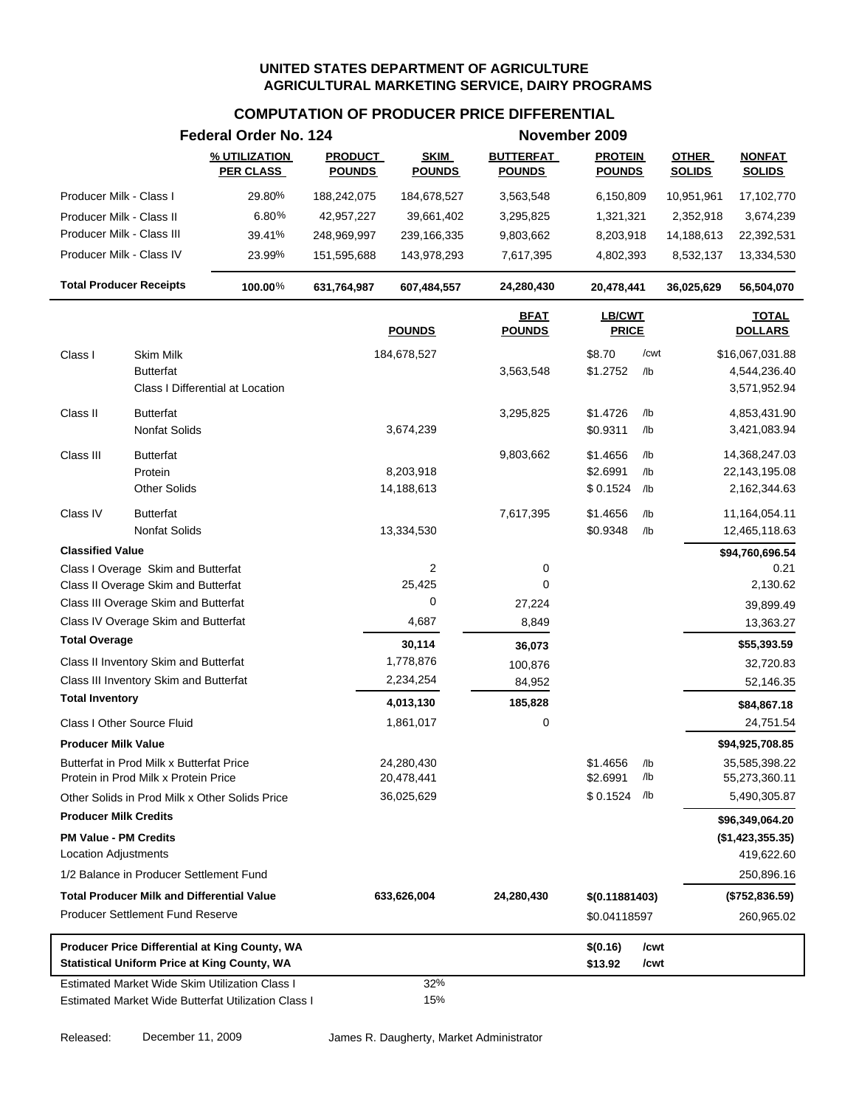|                                                                                                              | Federal Order No. 124             |                                 |                              |                                   | November 2009                    |                   |                               |                                                   |
|--------------------------------------------------------------------------------------------------------------|-----------------------------------|---------------------------------|------------------------------|-----------------------------------|----------------------------------|-------------------|-------------------------------|---------------------------------------------------|
|                                                                                                              | % UTILIZATION<br><u>PER CLASS</u> | <b>PRODUCT</b><br><b>POUNDS</b> | <b>SKIM</b><br><b>POUNDS</b> | <b>BUTTERFAT</b><br><b>POUNDS</b> | <b>PROTEIN</b><br><b>POUNDS</b>  |                   | <b>OTHER</b><br><b>SOLIDS</b> | <b>NONFAT</b><br><b>SOLIDS</b>                    |
| Producer Milk - Class I                                                                                      | 29.80%                            | 188,242,075                     | 184,678,527                  | 3,563,548                         | 6,150,809                        |                   | 10,951,961                    | 17,102,770                                        |
| Producer Milk - Class II                                                                                     | 6.80%                             | 42,957,227                      | 39,661,402                   | 3,295,825                         | 1,321,321                        |                   | 2,352,918                     | 3,674,239                                         |
| Producer Milk - Class III                                                                                    | 39.41%                            | 248,969,997                     | 239,166,335                  | 9,803,662                         | 8,203,918                        |                   | 14,188,613                    | 22,392,531                                        |
| Producer Milk - Class IV                                                                                     | 23.99%                            | 151,595,688                     | 143,978,293                  | 7,617,395                         | 4,802,393                        |                   | 8,532,137                     | 13,334,530                                        |
| <b>Total Producer Receipts</b>                                                                               | 100.00%                           | 631,764,987                     | 607,484,557                  | 24,280,430                        | 20,478,441                       |                   | 36,025,629                    | 56,504,070                                        |
|                                                                                                              |                                   |                                 | <b>POUNDS</b>                | <b>BFAT</b><br><b>POUNDS</b>      | <b>LB/CWT</b><br><b>PRICE</b>    |                   |                               | <b>TOTAL</b><br><b>DOLLARS</b>                    |
| Class I<br>Skim Milk<br><b>Butterfat</b><br>Class I Differential at Location                                 |                                   |                                 | 184,678,527                  | 3,563,548                         | \$8.70<br>\$1.2752               | /cwt<br>/lb       |                               | \$16,067,031.88<br>4,544,236.40<br>3,571,952.94   |
| Class II<br><b>Butterfat</b><br>Nonfat Solids                                                                |                                   |                                 | 3,674,239                    | 3,295,825                         | \$1.4726<br>\$0.9311             | /lb<br>/lb        |                               | 4,853,431.90<br>3,421,083.94                      |
| Class III<br>Butterfat<br>Protein<br><b>Other Solids</b>                                                     |                                   |                                 | 8,203,918<br>14,188,613      | 9,803,662                         | \$1.4656<br>\$2.6991<br>\$0.1524 | /lb<br>/lb<br>/lb |                               | 14,368,247.03<br>22,143,195.08<br>2,162,344.63    |
| Class IV<br><b>Butterfat</b><br>Nonfat Solids                                                                |                                   |                                 | 13,334,530                   | 7,617,395                         | \$1.4656<br>\$0.9348             | /lb<br>/lb        |                               | 11,164,054.11<br>12,465,118.63                    |
| <b>Classified Value</b>                                                                                      |                                   |                                 |                              |                                   |                                  |                   |                               | \$94,760,696.54                                   |
| Class I Overage Skim and Butterfat                                                                           |                                   |                                 | $\overline{2}$               | 0                                 |                                  |                   |                               | 0.21                                              |
| Class II Overage Skim and Butterfat                                                                          |                                   |                                 | 25,425<br>0                  | 0                                 |                                  |                   |                               | 2,130.62                                          |
| Class III Overage Skim and Butterfat<br>Class IV Overage Skim and Butterfat                                  |                                   |                                 | 4,687                        | 27,224                            |                                  |                   |                               | 39,899.49                                         |
| <b>Total Overage</b>                                                                                         |                                   |                                 |                              | 8,849                             |                                  |                   |                               | 13,363.27                                         |
|                                                                                                              |                                   |                                 | 30,114                       | 36,073                            |                                  |                   |                               | \$55,393.59                                       |
| Class II Inventory Skim and Butterfat<br>Class III Inventory Skim and Butterfat                              |                                   |                                 | 1,778,876<br>2,234,254       | 100,876                           |                                  |                   |                               | 32,720.83                                         |
| <b>Total Inventory</b>                                                                                       |                                   |                                 |                              | 84,952                            |                                  |                   |                               | 52,146.35                                         |
|                                                                                                              |                                   |                                 | 4,013,130                    | 185,828                           |                                  |                   |                               | \$84,867.18                                       |
| Class I Other Source Fluid                                                                                   |                                   |                                 | 1,861,017                    | 0                                 |                                  |                   |                               | 24,751.54                                         |
| Producer Milk Value<br>Butterfat in Prod Milk x Butterfat Price<br>Protein in Prod Milk x Protein Price      |                                   |                                 | 24,280,430<br>20,478,441     |                                   | \$1.4656<br>\$2.6991             | /lb<br>/lb        |                               | \$94,925,708.85<br>35,585,398.22<br>55,273,360.11 |
| Other Solids in Prod Milk x Other Solids Price                                                               |                                   |                                 | 36,025,629                   |                                   | \$0.1524                         | /lb               |                               | 5,490,305.87                                      |
| <b>Producer Milk Credits</b><br><b>PM Value - PM Credits</b><br><b>Location Adjustments</b>                  |                                   |                                 |                              |                                   |                                  |                   |                               | \$96,349,064.20<br>(\$1,423,355.35)<br>419,622.60 |
| 1/2 Balance in Producer Settlement Fund                                                                      |                                   |                                 |                              |                                   |                                  |                   |                               | 250,896.16                                        |
| <b>Total Producer Milk and Differential Value</b>                                                            |                                   |                                 | 633,626,004                  | 24,280,430                        | \$(0.11881403)                   |                   |                               | (\$752,836.59)                                    |
| <b>Producer Settlement Fund Reserve</b>                                                                      |                                   |                                 |                              |                                   | \$0.04118597                     |                   |                               | 260,965.02                                        |
| Producer Price Differential at King County, WA<br><b>Statistical Uniform Price at King County, WA</b>        |                                   |                                 |                              |                                   | \$(0.16)<br>\$13.92              | /cwt<br>/cwt      |                               |                                                   |
| <b>Estimated Market Wide Skim Utilization Class I</b><br>Estimated Market Wide Butterfat Utilization Class I |                                   |                                 | 32%<br>15%                   |                                   |                                  |                   |                               |                                                   |